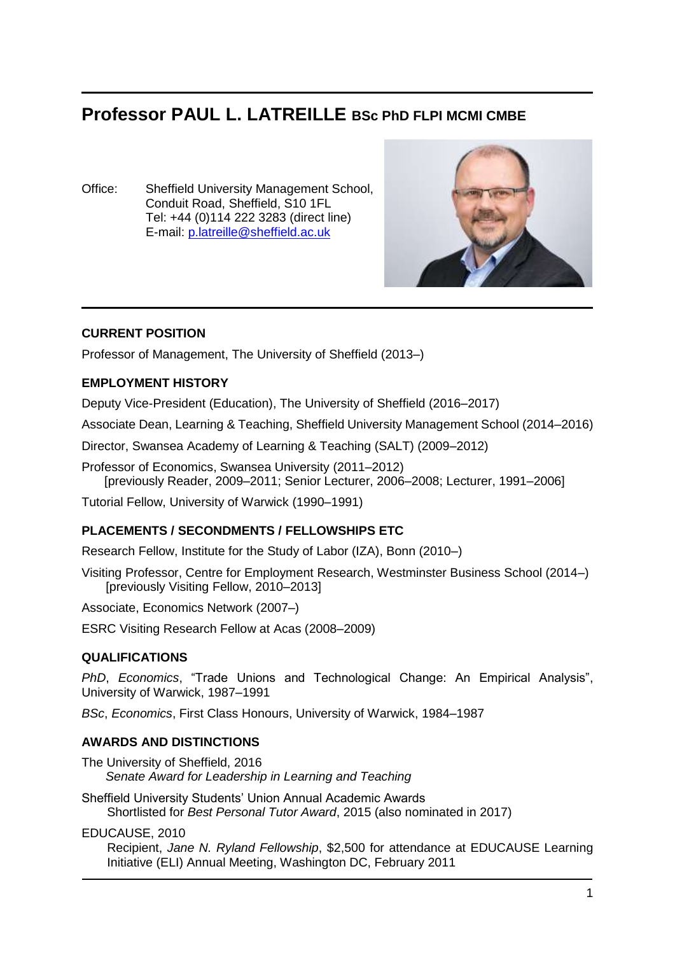# **Professor PAUL L. LATREILLE BSc PhD FLPI MCMI CMBE**

Office: Sheffield University Management School, Conduit Road, Sheffield, S10 1FL Tel: +44 (0)114 222 3283 (direct line) E-mail: [p.latreille@sheffield.ac.uk](mailto:p.latreille@sheffield.ac.uk) 



### **CURRENT POSITION**

Professor of Management, The University of Sheffield (2013–)

### **EMPLOYMENT HISTORY**

Deputy Vice-President (Education), The University of Sheffield (2016–2017)

Associate Dean, Learning & Teaching, Sheffield University Management School (2014–2016)

Director, Swansea Academy of Learning & Teaching (SALT) (2009–2012)

Professor of Economics, Swansea University (2011–2012) [previously Reader, 2009–2011; Senior Lecturer, 2006–2008; Lecturer, 1991–2006]

Tutorial Fellow, University of Warwick (1990–1991)

### **PLACEMENTS / SECONDMENTS / FELLOWSHIPS ETC**

Research Fellow, Institute for the Study of Labor (IZA), Bonn (2010–)

Visiting Professor, Centre for Employment Research, Westminster Business School (2014–) [previously Visiting Fellow, 2010–2013]

Associate, Economics Network (2007–)

ESRC Visiting Research Fellow at Acas (2008–2009)

### **QUALIFICATIONS**

*PhD*, *Economics*, "Trade Unions and Technological Change: An Empirical Analysis", University of Warwick, 1987–1991

*BSc*, *Economics*, First Class Honours, University of Warwick, 1984–1987

### **AWARDS AND DISTINCTIONS**

The University of Sheffield, 2016 *Senate Award for Leadership in Learning and Teaching*

Sheffield University Students' Union Annual Academic Awards Shortlisted for *Best Personal Tutor Award*, 2015 (also nominated in 2017)

### EDUCAUSE, 2010

Recipient, *Jane N. Ryland Fellowship*, \$2,500 for attendance at EDUCAUSE Learning Initiative (ELI) Annual Meeting, Washington DC, February 2011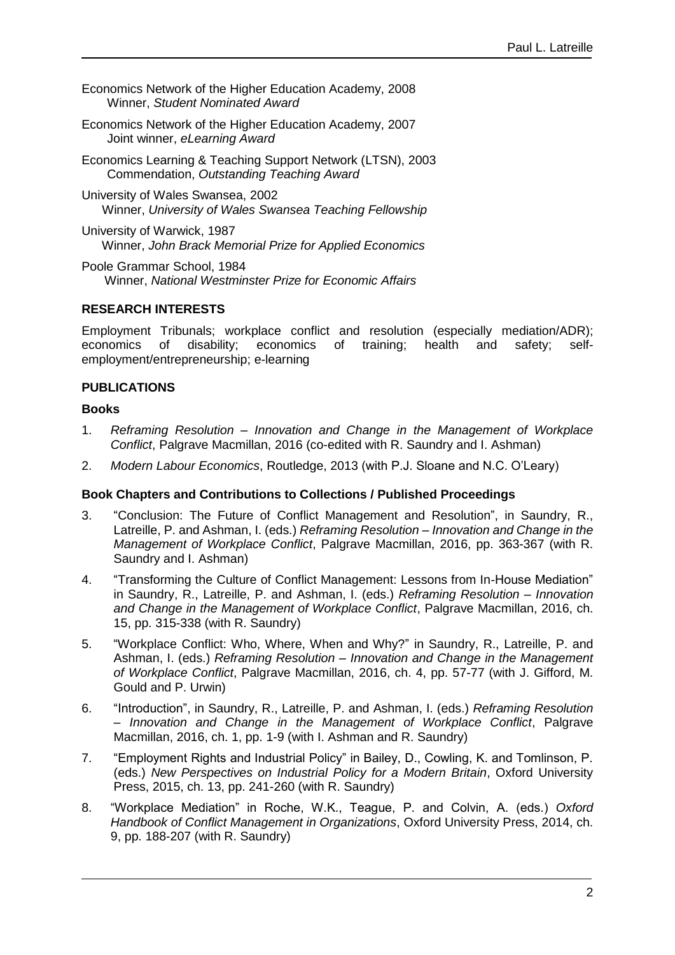Economics Network of the Higher Education Academy, 2008 Winner, *Student Nominated Award* 

- Economics Network of the Higher Education Academy, 2007 Joint winner, *eLearning Award*
- Economics Learning & Teaching Support Network (LTSN), 2003 Commendation, *Outstanding Teaching Award*
- University of Wales Swansea, 2002 Winner, *University of Wales Swansea Teaching Fellowship*

University of Warwick, 1987 Winner, *John Brack Memorial Prize for Applied Economics*

Poole Grammar School, 1984 Winner, *National Westminster Prize for Economic Affairs*

### **RESEARCH INTERESTS**

Employment Tribunals; workplace conflict and resolution (especially mediation/ADR); economics of disability; economics of training; health and safety; selfemployment/entrepreneurship; e-learning

### **PUBLICATIONS**

### **Books**

- 1. *Reframing Resolution – Innovation and Change in the Management of Workplace Conflict*, Palgrave Macmillan, 2016 (co-edited with R. Saundry and I. Ashman)
- 2. *Modern Labour Economics*, Routledge, 2013 (with P.J. Sloane and N.C. O'Leary)

### **Book Chapters and Contributions to Collections / Published Proceedings**

- 3. "Conclusion: The Future of Conflict Management and Resolution", in Saundry, R., Latreille, P. and Ashman, I. (eds.) *Reframing Resolution – Innovation and Change in the Management of Workplace Conflict*, Palgrave Macmillan, 2016, pp. 363-367 (with R. Saundry and I. Ashman)
- 4. "Transforming the Culture of Conflict Management: Lessons from In-House Mediation" in Saundry, R., Latreille, P. and Ashman, I. (eds.) *Reframing Resolution – Innovation and Change in the Management of Workplace Conflict*, Palgrave Macmillan, 2016, ch. 15, pp. 315-338 (with R. Saundry)
- 5. "Workplace Conflict: Who, Where, When and Why?" in Saundry, R., Latreille, P. and Ashman, I. (eds.) *Reframing Resolution – Innovation and Change in the Management of Workplace Conflict*, Palgrave Macmillan, 2016, ch. 4, pp. 57-77 (with J. Gifford, M. Gould and P. Urwin)
- 6. "Introduction", in Saundry, R., Latreille, P. and Ashman, I. (eds.) *Reframing Resolution – Innovation and Change in the Management of Workplace Conflict*, Palgrave Macmillan, 2016, ch. 1, pp. 1-9 (with I. Ashman and R. Saundry)
- 7. "Employment Rights and Industrial Policy" in Bailey, D., Cowling, K. and Tomlinson, P. (eds.) *New Perspectives on Industrial Policy for a Modern Britain*, Oxford University Press, 2015, ch. 13, pp. 241-260 (with R. Saundry)
- 8. "Workplace Mediation" in Roche, W.K., Teague, P. and Colvin, A. (eds.) *Oxford Handbook of Conflict Management in Organizations*, Oxford University Press, 2014, ch. 9, pp. 188-207 (with R. Saundry)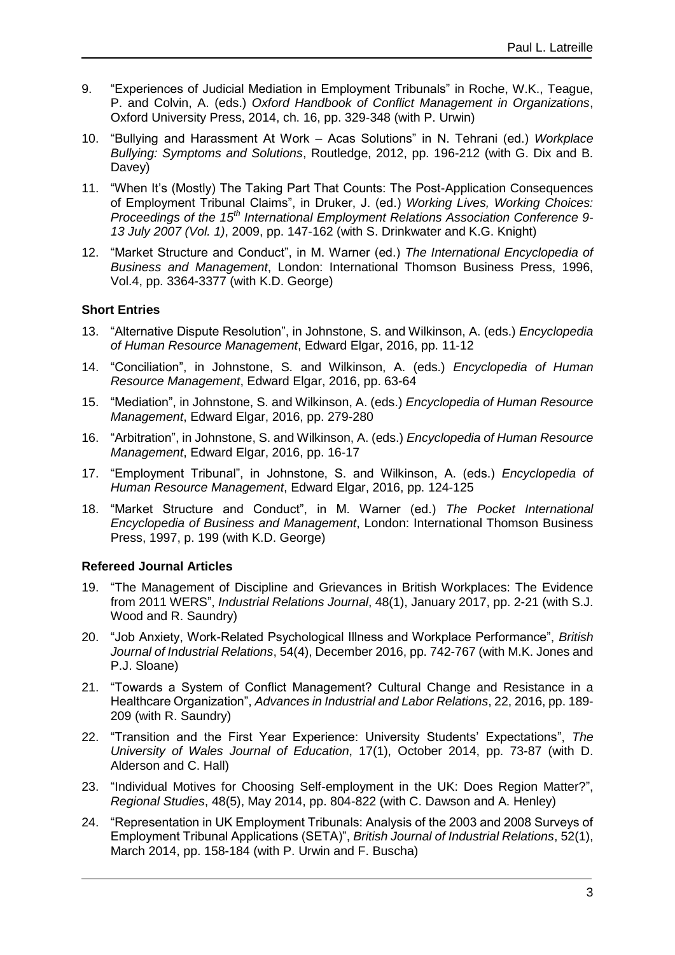- 9. "Experiences of Judicial Mediation in Employment Tribunals" in Roche, W.K., Teague, P. and Colvin, A. (eds.) *Oxford Handbook of Conflict Management in Organizations*, Oxford University Press, 2014, ch. 16, pp. 329-348 (with P. Urwin)
- 10. "Bullying and Harassment At Work Acas Solutions" in N. Tehrani (ed.) *Workplace Bullying: Symptoms and Solutions*, Routledge, 2012, pp. 196-212 (with G. Dix and B. Davey)
- 11. "When It's (Mostly) The Taking Part That Counts: The Post-Application Consequences of Employment Tribunal Claims", in Druker, J. (ed.) *Working Lives, Working Choices: Proceedings of the 15th International Employment Relations Association Conference 9- 13 July 2007 (Vol. 1)*, 2009, pp. 147-162 (with S. Drinkwater and K.G. Knight)
- 12. "Market Structure and Conduct", in M. Warner (ed.) *The International Encyclopedia of Business and Management*, London: International Thomson Business Press, 1996, Vol.4, pp. 3364-3377 (with K.D. George)

### **Short Entries**

- 13. "Alternative Dispute Resolution", in Johnstone, S. and Wilkinson, A. (eds.) *Encyclopedia of Human Resource Management*, Edward Elgar, 2016, pp. 11-12
- 14. "Conciliation", in Johnstone, S. and Wilkinson, A. (eds.) *Encyclopedia of Human Resource Management*, Edward Elgar, 2016, pp. 63-64
- 15. "Mediation", in Johnstone, S. and Wilkinson, A. (eds.) *Encyclopedia of Human Resource Management*, Edward Elgar, 2016, pp. 279-280
- 16. "Arbitration", in Johnstone, S. and Wilkinson, A. (eds.) *Encyclopedia of Human Resource Management*, Edward Elgar, 2016, pp. 16-17
- 17. "Employment Tribunal", in Johnstone, S. and Wilkinson, A. (eds.) *Encyclopedia of Human Resource Management*, Edward Elgar, 2016, pp. 124-125
- 18. "Market Structure and Conduct", in M. Warner (ed.) *The Pocket International Encyclopedia of Business and Management*, London: International Thomson Business Press, 1997, p. 199 (with K.D. George)

### **Refereed Journal Articles**

- 19. "The Management of Discipline and Grievances in British Workplaces: The Evidence from 2011 WERS", *Industrial Relations Journal*, 48(1), January 2017, pp. 2-21 (with S.J. Wood and R. Saundry)
- 20. "Job Anxiety, Work-Related Psychological Illness and Workplace Performance", *British Journal of Industrial Relations*, 54(4), December 2016, pp. 742-767 (with M.K. Jones and P.J. Sloane)
- 21. "Towards a System of Conflict Management? Cultural Change and Resistance in a Healthcare Organization", *Advances in Industrial and Labor Relations*, 22, 2016, pp. 189- 209 (with R. Saundry)
- 22. "Transition and the First Year Experience: University Students' Expectations", *The University of Wales Journal of Education*, 17(1), October 2014, pp. 73-87 (with D. Alderson and C. Hall)
- 23. "Individual Motives for Choosing Self-employment in the UK: Does Region Matter?", *Regional Studies*, 48(5), May 2014, pp. 804-822 (with C. Dawson and A. Henley)
- 24. "Representation in UK Employment Tribunals: Analysis of the 2003 and 2008 Surveys of Employment Tribunal Applications (SETA)", *British Journal of Industrial Relations*, 52(1), March 2014, pp. 158-184 (with P. Urwin and F. Buscha)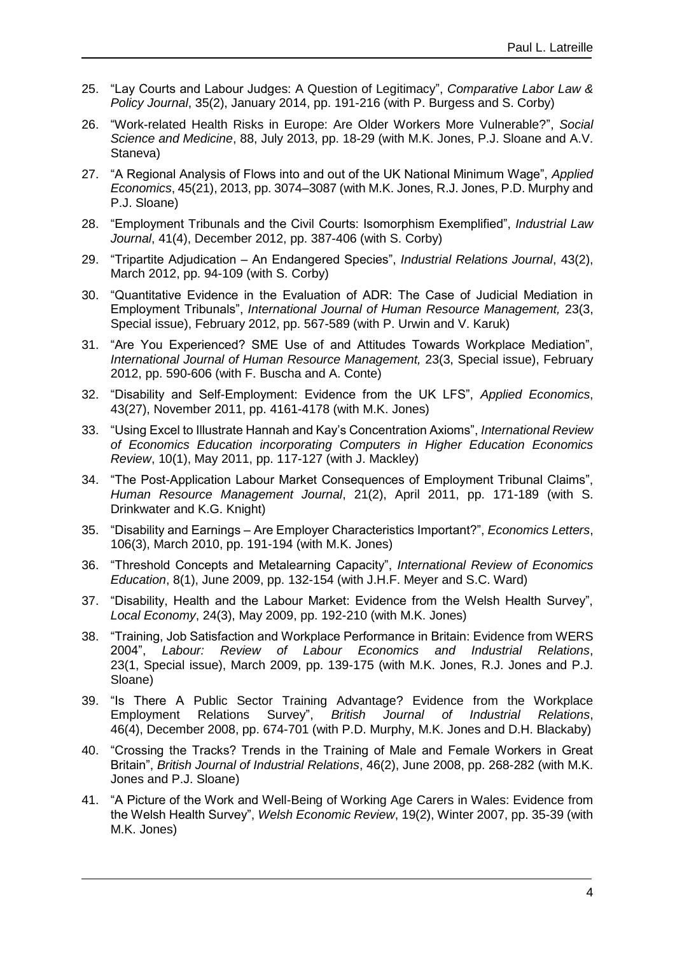- 25. "Lay Courts and Labour Judges: A Question of Legitimacy", *Comparative Labor Law & Policy Journal*, 35(2), January 2014, pp. 191-216 (with P. Burgess and S. Corby)
- 26. "Work-related Health Risks in Europe: Are Older Workers More Vulnerable?", *Social Science and Medicine*, 88, July 2013, pp. 18-29 (with M.K. Jones, P.J. Sloane and A.V. Staneva)
- 27. "A Regional Analysis of Flows into and out of the UK National Minimum Wage", *Applied Economics*, 45(21), 2013, pp. 3074–3087 (with M.K. Jones, R.J. Jones, P.D. Murphy and P.J. Sloane)
- 28. "Employment Tribunals and the Civil Courts: Isomorphism Exemplified", *Industrial Law Journal*, 41(4), December 2012, pp. 387-406 (with S. Corby)
- 29. "Tripartite Adjudication An Endangered Species", *Industrial Relations Journal*, 43(2), March 2012, pp. 94-109 (with S. Corby)
- 30. "Quantitative Evidence in the Evaluation of ADR: The Case of Judicial Mediation in Employment Tribunals", *International Journal of Human Resource Management,* 23(3, Special issue), February 2012, pp. 567-589 (with P. Urwin and V. Karuk)
- 31. "Are You Experienced? SME Use of and Attitudes Towards Workplace Mediation", *International Journal of Human Resource Management,* 23(3, Special issue), February 2012, pp. 590-606 (with F. Buscha and A. Conte)
- 32. "Disability and Self-Employment: Evidence from the UK LFS", *Applied Economics*, 43(27), November 2011, pp. 4161-4178 (with M.K. Jones)
- 33. "Using Excel to Illustrate Hannah and Kay's Concentration Axioms", *International Review of Economics Education incorporating Computers in Higher Education Economics Review*, 10(1), May 2011, pp. 117-127 (with J. Mackley)
- 34. "The Post-Application Labour Market Consequences of Employment Tribunal Claims", *Human Resource Management Journal*, 21(2), April 2011, pp. 171-189 (with S. Drinkwater and K.G. Knight)
- 35. "Disability and Earnings Are Employer Characteristics Important?", *Economics Letters*, 106(3), March 2010, pp. 191-194 (with M.K. Jones)
- 36. "Threshold Concepts and Metalearning Capacity", *International Review of Economics Education*, 8(1), June 2009, pp. 132-154 (with J.H.F. Meyer and S.C. Ward)
- 37. "Disability, Health and the Labour Market: Evidence from the Welsh Health Survey", *Local Economy*, 24(3), May 2009, pp. 192-210 (with M.K. Jones)
- 38. "Training, Job Satisfaction and Workplace Performance in Britain: Evidence from WERS 2004", *Labour: Review of Labour Economics and Industrial Relations*, 23(1, Special issue), March 2009, pp. 139-175 (with M.K. Jones, R.J. Jones and P.J. Sloane)
- 39. "Is There A Public Sector Training Advantage? Evidence from the Workplace Employment Relations Survey", *British Journal of Industrial Relations*, 46(4), December 2008, pp. 674-701 (with P.D. Murphy, M.K. Jones and D.H. Blackaby)
- 40. "Crossing the Tracks? Trends in the Training of Male and Female Workers in Great Britain", *British Journal of Industrial Relations*, 46(2), June 2008, pp. 268-282 (with M.K. Jones and P.J. Sloane)
- 41. "A Picture of the Work and Well-Being of Working Age Carers in Wales: Evidence from the Welsh Health Survey", *Welsh Economic Review*, 19(2), Winter 2007, pp. 35-39 (with M.K. Jones)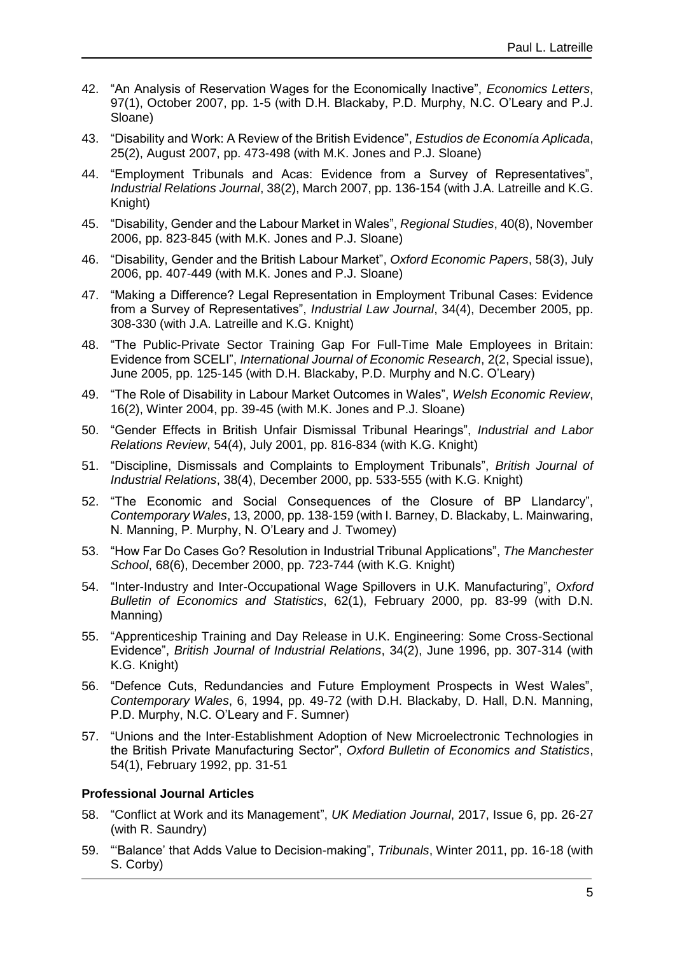- 42. "An Analysis of Reservation Wages for the Economically Inactive", *Economics Letters*, 97(1), October 2007, pp. 1-5 (with D.H. Blackaby, P.D. Murphy, N.C. O'Leary and P.J. Sloane)
- 43. "Disability and Work: A Review of the British Evidence", *Estudios de Economía Aplicada*, 25(2), August 2007, pp. 473-498 (with M.K. Jones and P.J. Sloane)
- 44. "Employment Tribunals and Acas: Evidence from a Survey of Representatives", *Industrial Relations Journal*, 38(2), March 2007, pp. 136-154 (with J.A. Latreille and K.G. Knight)
- 45. "Disability, Gender and the Labour Market in Wales", *Regional Studies*, 40(8), November 2006, pp. 823-845 (with M.K. Jones and P.J. Sloane)
- 46. "Disability, Gender and the British Labour Market", *Oxford Economic Papers*, 58(3), July 2006, pp. 407-449 (with M.K. Jones and P.J. Sloane)
- 47. "Making a Difference? Legal Representation in Employment Tribunal Cases: Evidence from a Survey of Representatives", *Industrial Law Journal*, 34(4), December 2005, pp. 308-330 (with J.A. Latreille and K.G. Knight)
- 48. "The Public-Private Sector Training Gap For Full-Time Male Employees in Britain: Evidence from SCELI", *International Journal of Economic Research*, 2(2, Special issue), June 2005, pp. 125-145 (with D.H. Blackaby, P.D. Murphy and N.C. O'Leary)
- 49. "The Role of Disability in Labour Market Outcomes in Wales", *Welsh Economic Review*, 16(2), Winter 2004, pp. 39-45 (with M.K. Jones and P.J. Sloane)
- 50. "Gender Effects in British Unfair Dismissal Tribunal Hearings", *Industrial and Labor Relations Review*, 54(4), July 2001, pp. 816-834 (with K.G. Knight)
- 51. "Discipline, Dismissals and Complaints to Employment Tribunals", *British Journal of Industrial Relations*, 38(4), December 2000, pp. 533-555 (with K.G. Knight)
- 52. "The Economic and Social Consequences of the Closure of BP Llandarcy", *Contemporary Wales*, 13, 2000, pp. 138-159 (with I. Barney, D. Blackaby, L. Mainwaring, N. Manning, P. Murphy, N. O'Leary and J. Twomey)
- 53. "How Far Do Cases Go? Resolution in Industrial Tribunal Applications", *The Manchester School*, 68(6), December 2000, pp. 723-744 (with K.G. Knight)
- 54. "Inter-Industry and Inter-Occupational Wage Spillovers in U.K. Manufacturing", *Oxford Bulletin of Economics and Statistics*, 62(1), February 2000, pp. 83-99 (with D.N. Manning)
- 55. "Apprenticeship Training and Day Release in U.K. Engineering: Some Cross-Sectional Evidence", *British Journal of Industrial Relations*, 34(2), June 1996, pp. 307-314 (with K.G. Knight)
- 56. "Defence Cuts, Redundancies and Future Employment Prospects in West Wales", *Contemporary Wales*, 6, 1994, pp. 49-72 (with D.H. Blackaby, D. Hall, D.N. Manning, P.D. Murphy, N.C. O'Leary and F. Sumner)
- 57. "Unions and the Inter-Establishment Adoption of New Microelectronic Technologies in the British Private Manufacturing Sector", *Oxford Bulletin of Economics and Statistics*, 54(1), February 1992, pp. 31-51

### **Professional Journal Articles**

- 58. "Conflict at Work and its Management", *UK Mediation Journal*, 2017, Issue 6, pp. 26-27 (with R. Saundry)
- 59. "'Balance' that Adds Value to Decision-making", *Tribunals*, Winter 2011, pp. 16-18 (with S. Corby)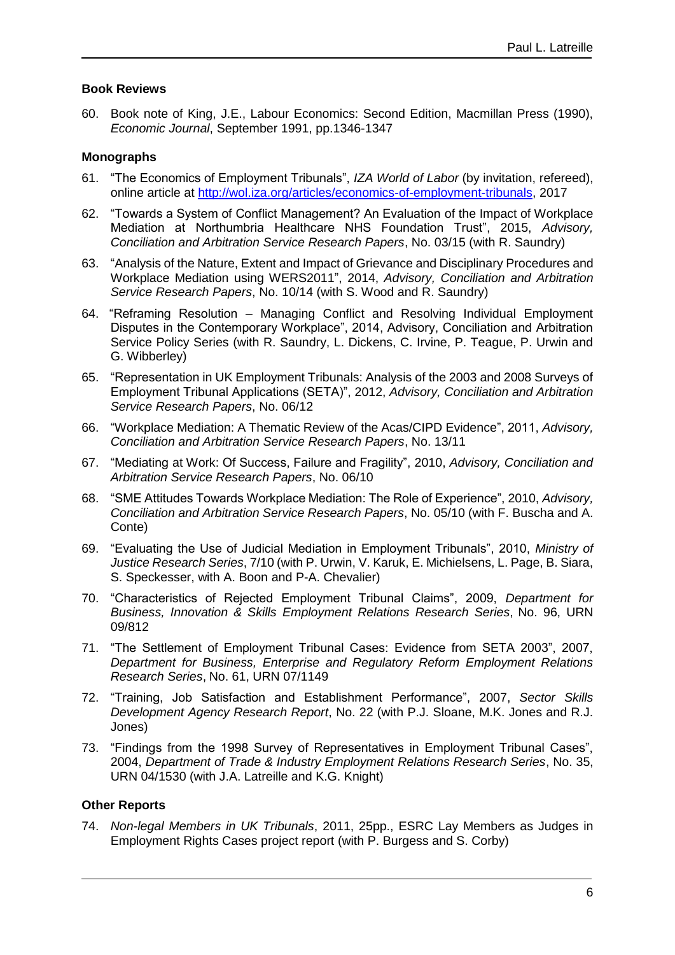### **Book Reviews**

60. Book note of King, J.E., Labour Economics: Second Edition, Macmillan Press (1990), *Economic Journal*, September 1991, pp.1346-1347

### **Monographs**

- 61. "The Economics of Employment Tribunals", *IZA World of Labor* (by invitation, refereed), online article at [http://wol.iza.org/articles/economics-of-employment-tribunals,](http://wol.iza.org/articles/economics-of-employment-tribunals) 2017
- 62. "Towards a System of Conflict Management? An Evaluation of the Impact of Workplace Mediation at Northumbria Healthcare NHS Foundation Trust", 2015, *Advisory, Conciliation and Arbitration Service Research Papers*, No. 03/15 (with R. Saundry)
- 63. "Analysis of the Nature, Extent and Impact of Grievance and Disciplinary Procedures and Workplace Mediation using WERS2011", 2014, *Advisory, Conciliation and Arbitration Service Research Papers*, No. 10/14 (with S. Wood and R. Saundry)
- 64. "Reframing Resolution Managing Conflict and Resolving Individual Employment Disputes in the Contemporary Workplace", 2014, Advisory, Conciliation and Arbitration Service Policy Series (with R. Saundry, L. Dickens, C. Irvine, P. Teague, P. Urwin and G. Wibberley)
- 65. "Representation in UK Employment Tribunals: Analysis of the 2003 and 2008 Surveys of Employment Tribunal Applications (SETA)", 2012, *Advisory, Conciliation and Arbitration Service Research Papers*, No. 06/12
- 66. "Workplace Mediation: A Thematic Review of the Acas/CIPD Evidence", 2011, *Advisory, Conciliation and Arbitration Service Research Papers*, No. 13/11
- 67. "Mediating at Work: Of Success, Failure and Fragility", 2010, *Advisory, Conciliation and Arbitration Service Research Papers*, No. 06/10
- 68. "SME Attitudes Towards Workplace Mediation: The Role of Experience", 2010, *Advisory, Conciliation and Arbitration Service Research Papers*, No. 05/10 (with F. Buscha and A. Conte)
- 69. "Evaluating the Use of Judicial Mediation in Employment Tribunals", 2010, *Ministry of Justice Research Series*, 7/10 (with P. Urwin, V. Karuk, E. Michielsens, L. Page, B. Siara, S. Speckesser, with A. Boon and P-A. Chevalier)
- 70. "Characteristics of Rejected Employment Tribunal Claims", 2009, *Department for Business, Innovation & Skills Employment Relations Research Series*, No. 96, URN 09/812
- 71. "The Settlement of Employment Tribunal Cases: Evidence from SETA 2003", 2007, *Department for Business, Enterprise and Regulatory Reform Employment Relations Research Series*, No. 61, URN 07/1149
- 72. "Training, Job Satisfaction and Establishment Performance", 2007, *Sector Skills Development Agency Research Report*, No. 22 (with P.J. Sloane, M.K. Jones and R.J. Jones)
- 73. "Findings from the 1998 Survey of Representatives in Employment Tribunal Cases", 2004, *Department of Trade & Industry Employment Relations Research Series*, No. 35, URN 04/1530 (with J.A. Latreille and K.G. Knight)

### **Other Reports**

74. *Non-legal Members in UK Tribunals*, 2011, 25pp., ESRC Lay Members as Judges in Employment Rights Cases project report (with P. Burgess and S. Corby)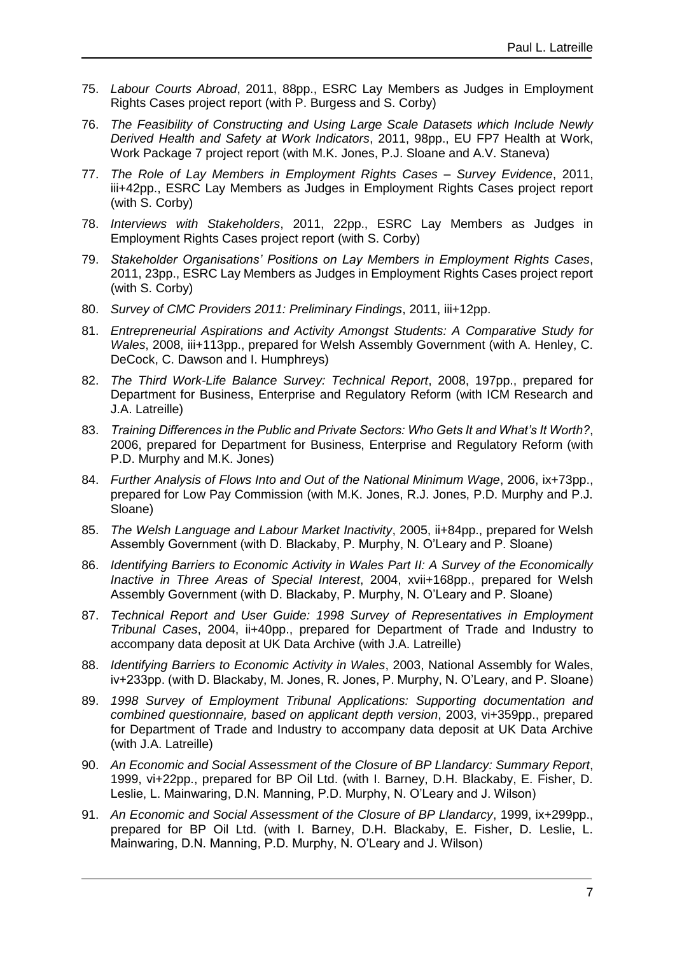- 75. *Labour Courts Abroad*, 2011, 88pp., ESRC Lay Members as Judges in Employment Rights Cases project report (with P. Burgess and S. Corby)
- 76. *The Feasibility of Constructing and Using Large Scale Datasets which Include Newly Derived Health and Safety at Work Indicators*, 2011, 98pp., EU FP7 Health at Work, Work Package 7 project report (with M.K. Jones, P.J. Sloane and A.V. Staneva)
- 77. *The Role of Lay Members in Employment Rights Cases – Survey Evidence*, 2011, iii+42pp., ESRC Lay Members as Judges in Employment Rights Cases project report (with S. Corby)
- 78. *Interviews with Stakeholders*, 2011, 22pp., ESRC Lay Members as Judges in Employment Rights Cases project report (with S. Corby)
- 79. *Stakeholder Organisations' Positions on Lay Members in Employment Rights Cases*, 2011, 23pp., ESRC Lay Members as Judges in Employment Rights Cases project report (with S. Corby)
- 80. *Survey of CMC Providers 2011: Preliminary Findings*, 2011, iii+12pp.
- 81. *Entrepreneurial Aspirations and Activity Amongst Students: A Comparative Study for Wales*, 2008, iii+113pp., prepared for Welsh Assembly Government (with A. Henley, C. DeCock, C. Dawson and I. Humphreys)
- 82. *The Third Work-Life Balance Survey: Technical Report*, 2008, 197pp., prepared for Department for Business, Enterprise and Regulatory Reform (with ICM Research and J.A. Latreille)
- 83. *Training Differences in the Public and Private Sectors: Who Gets It and What's It Worth?*, 2006, prepared for Department for Business, Enterprise and Regulatory Reform (with P.D. Murphy and M.K. Jones)
- 84. *Further Analysis of Flows Into and Out of the National Minimum Wage*, 2006, ix+73pp., prepared for Low Pay Commission (with M.K. Jones, R.J. Jones, P.D. Murphy and P.J. Sloane)
- 85. *The Welsh Language and Labour Market Inactivity*, 2005, ii+84pp., prepared for Welsh Assembly Government (with D. Blackaby, P. Murphy, N. O'Leary and P. Sloane)
- 86. *Identifying Barriers to Economic Activity in Wales Part II: A Survey of the Economically Inactive in Three Areas of Special Interest*, 2004, xvii+168pp., prepared for Welsh Assembly Government (with D. Blackaby, P. Murphy, N. O'Leary and P. Sloane)
- 87. *Technical Report and User Guide: 1998 Survey of Representatives in Employment Tribunal Cases*, 2004, ii+40pp., prepared for Department of Trade and Industry to accompany data deposit at UK Data Archive (with J.A. Latreille)
- 88. *Identifying Barriers to Economic Activity in Wales*, 2003, National Assembly for Wales, iv+233pp. (with D. Blackaby, M. Jones, R. Jones, P. Murphy, N. O'Leary, and P. Sloane)
- 89. *1998 Survey of Employment Tribunal Applications: Supporting documentation and combined questionnaire, based on applicant depth version*, 2003, vi+359pp., prepared for Department of Trade and Industry to accompany data deposit at UK Data Archive (with J.A. Latreille)
- 90. *An Economic and Social Assessment of the Closure of BP Llandarcy: Summary Report*, 1999, vi+22pp., prepared for BP Oil Ltd. (with I. Barney, D.H. Blackaby, E. Fisher, D. Leslie, L. Mainwaring, D.N. Manning, P.D. Murphy, N. O'Leary and J. Wilson)
- 91. *An Economic and Social Assessment of the Closure of BP Llandarcy*, 1999, ix+299pp., prepared for BP Oil Ltd. (with I. Barney, D.H. Blackaby, E. Fisher, D. Leslie, L. Mainwaring, D.N. Manning, P.D. Murphy, N. O'Leary and J. Wilson)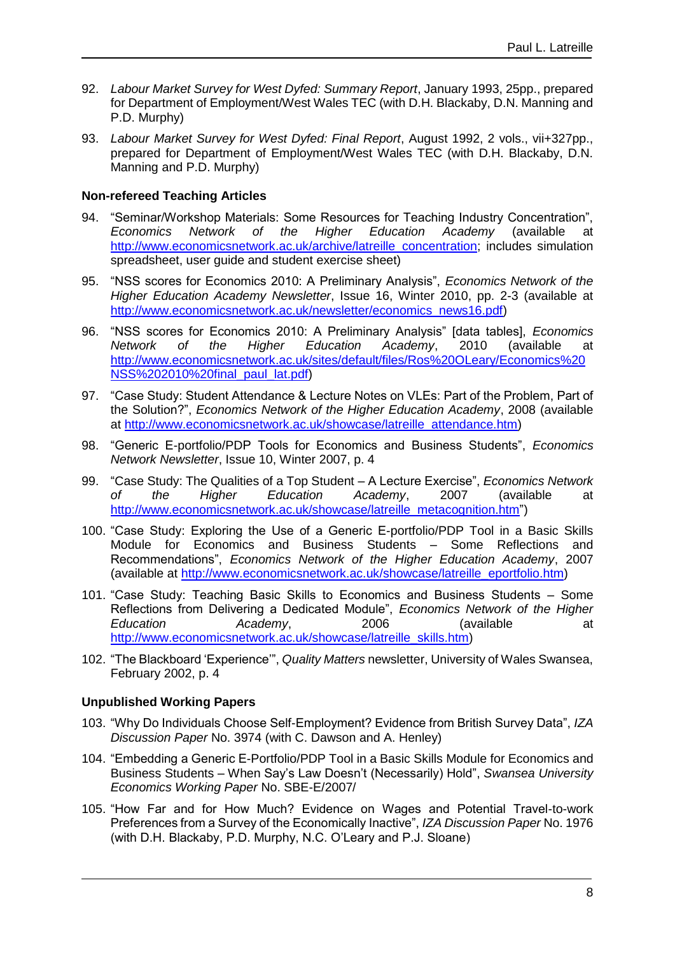- 92. *Labour Market Survey for West Dyfed: Summary Report*, January 1993, 25pp., prepared for Department of Employment/West Wales TEC (with D.H. Blackaby, D.N. Manning and P.D. Murphy)
- 93. *Labour Market Survey for West Dyfed: Final Report*, August 1992, 2 vols., vii+327pp., prepared for Department of Employment/West Wales TEC (with D.H. Blackaby, D.N. Manning and P.D. Murphy)

### **Non-refereed Teaching Articles**

- 94. "Seminar/Workshop Materials: Some Resources for Teaching Industry Concentration",<br>Economics Network of the Higher Education Academy (available at *Economics Network of the Higher Education Academy* (available at [http://www.economicsnetwork.ac.uk/archive/latreille\\_concentration;](http://www.economicsnetwork.ac.uk/archive/latreille_concentration) includes simulation spreadsheet, user guide and student exercise sheet)
- 95. "NSS scores for Economics 2010: A Preliminary Analysis", *Economics Network of the Higher Education Academy Newsletter*, Issue 16, Winter 2010, pp. 2-3 (available at [http://www.economicsnetwork.ac.uk/newsletter/economics\\_news16.pdf\)](http://www.economicsnetwork.ac.uk/newsletter/economics_news16.pdf)
- 96. "NSS scores for Economics 2010: A Preliminary Analysis" [data tables], *Economics Network of the Higher Education Academy*, 2010 (available at [http://www.economicsnetwork.ac.uk/sites/default/files/Ros%20OLeary/Economics%20](http://www.economicsnetwork.ac.uk/sites/default/files/Ros%20OLeary/Economics%20NSS%202010%20final_paul_lat.pdf) [NSS%202010%20final\\_paul\\_lat.pdf\)](http://www.economicsnetwork.ac.uk/sites/default/files/Ros%20OLeary/Economics%20NSS%202010%20final_paul_lat.pdf)
- 97. "Case Study: Student Attendance & Lecture Notes on VLEs: Part of the Problem, Part of the Solution?", *Economics Network of the Higher Education Academy*, 2008 (available at [http://www.economicsnetwork.ac.uk/showcase/latreille\\_attendance.htm\)](http://www.economicsnetwork.ac.uk/showcase/latreille_attendance.htm)
- 98. "Generic E-portfolio/PDP Tools for Economics and Business Students", *Economics Network Newsletter*, Issue 10, Winter 2007, p. 4
- 99. "Case Study: The Qualities of a Top Student A Lecture Exercise", *Economics Network of the Higher Education Academy*, 2007 (available at [http://www.economicsnetwork.ac.uk/showcase/latreille\\_metacognition.htm"](http://www.economicsnetwork.ac.uk/showcase/latreille_metacognition.htm))
- 100. "Case Study: Exploring the Use of a Generic E-portfolio/PDP Tool in a Basic Skills Module for Economics and Business Students – Some Reflections and Recommendations", *Economics Network of the Higher Education Academy*, 2007 (available at [http://www.economicsnetwork.ac.uk/showcase/latreille\\_eportfolio.htm\)](http://www.economicsnetwork.ac.uk/showcase/latreille_eportfolio.htm)
- 101. "Case Study: Teaching Basic Skills to Economics and Business Students Some Reflections from Delivering a Dedicated Module", *Economics Network of the Higher Education Academy*, 2006 (available at [http://www.economicsnetwork.ac.uk/showcase/latreille\\_skills.htm\)](http://www.economicsnetwork.ac.uk/showcase/latreille_skills.htm)
- 102. "The Blackboard 'Experience'", *Quality Matters* newsletter, University of Wales Swansea, February 2002, p. 4

### **Unpublished Working Papers**

- 103. "Why Do Individuals Choose Self-Employment? Evidence from British Survey Data", *IZA Discussion Paper* No. 3974 (with C. Dawson and A. Henley)
- 104. "Embedding a Generic E-Portfolio/PDP Tool in a Basic Skills Module for Economics and Business Students – When Say's Law Doesn't (Necessarily) Hold", *Swansea University Economics Working Paper* No. SBE-E/2007/
- 105. "How Far and for How Much? Evidence on Wages and Potential Travel-to-work Preferences from a Survey of the Economically Inactive", *IZA Discussion Paper* No. 1976 (with D.H. Blackaby, P.D. Murphy, N.C. O'Leary and P.J. Sloane)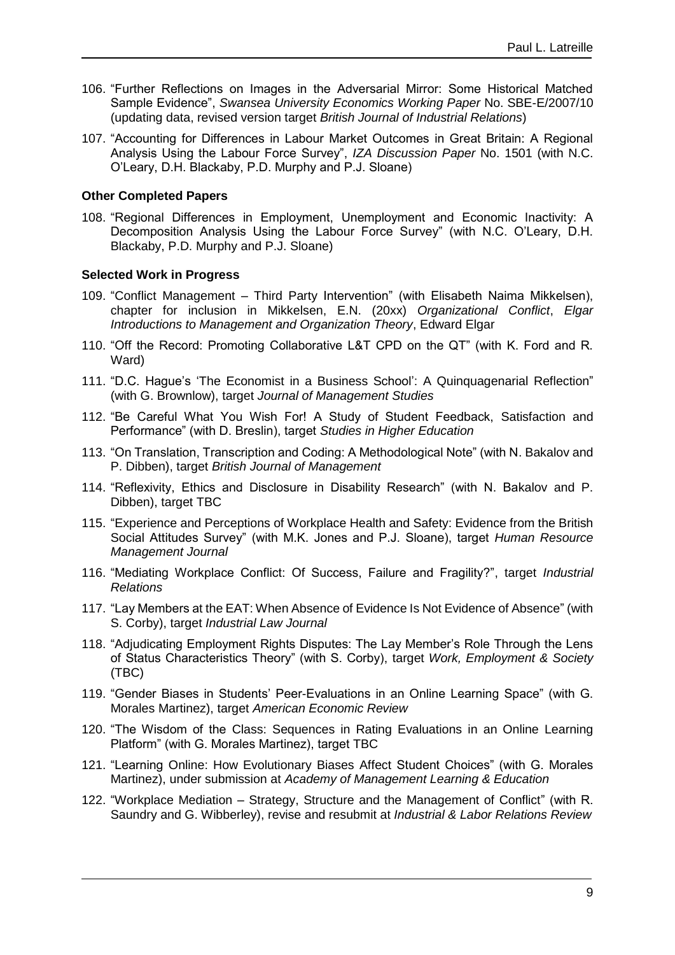- 106. "Further Reflections on Images in the Adversarial Mirror: Some Historical Matched Sample Evidence", *Swansea University Economics Working Paper* No. SBE-E/2007/10 (updating data, revised version target *British Journal of Industrial Relations*)
- 107. "Accounting for Differences in Labour Market Outcomes in Great Britain: A Regional Analysis Using the Labour Force Survey", *IZA Discussion Paper* No. 1501 (with N.C. O'Leary, D.H. Blackaby, P.D. Murphy and P.J. Sloane)

### **Other Completed Papers**

108. "Regional Differences in Employment, Unemployment and Economic Inactivity: A Decomposition Analysis Using the Labour Force Survey" (with N.C. O'Leary, D.H. Blackaby, P.D. Murphy and P.J. Sloane)

### **Selected Work in Progress**

- 109. "Conflict Management Third Party Intervention" (with Elisabeth Naima Mikkelsen), chapter for inclusion in Mikkelsen, E.N. (20xx) *Organizational Conflict*, *Elgar Introductions to Management and Organization Theory*, Edward Elgar
- 110. "Off the Record: Promoting Collaborative L&T CPD on the QT" (with K. Ford and R. Ward)
- 111. "D.C. Hague's 'The Economist in a Business School': A Quinquagenarial Reflection" (with G. Brownlow), target *Journal of Management Studies*
- 112. "Be Careful What You Wish For! A Study of Student Feedback, Satisfaction and Performance" (with D. Breslin), target *Studies in Higher Education*
- 113. "On Translation, Transcription and Coding: A Methodological Note" (with N. Bakalov and P. Dibben), target *British Journal of Management*
- 114. "Reflexivity, Ethics and Disclosure in Disability Research" (with N. Bakalov and P. Dibben), target TBC
- 115. "Experience and Perceptions of Workplace Health and Safety: Evidence from the British Social Attitudes Survey" (with M.K. Jones and P.J. Sloane), target *Human Resource Management Journal*
- 116. "Mediating Workplace Conflict: Of Success, Failure and Fragility?", target *Industrial Relations*
- 117. "Lay Members at the EAT: When Absence of Evidence Is Not Evidence of Absence" (with S. Corby), target *Industrial Law Journal*
- 118. "Adjudicating Employment Rights Disputes: The Lay Member's Role Through the Lens of Status Characteristics Theory" (with S. Corby), target *Work, Employment & Society* (TBC)
- 119. "Gender Biases in Students' Peer-Evaluations in an Online Learning Space" (with G. Morales Martinez), target *American Economic Review*
- 120. "The Wisdom of the Class: Sequences in Rating Evaluations in an Online Learning Platform" (with G. Morales Martinez), target TBC
- 121. "Learning Online: How Evolutionary Biases Affect Student Choices" (with G. Morales Martinez), under submission at *Academy of Management Learning & Education*
- 122. "Workplace Mediation Strategy, Structure and the Management of Conflict" (with R. Saundry and G. Wibberley), revise and resubmit at *Industrial & Labor Relations Review*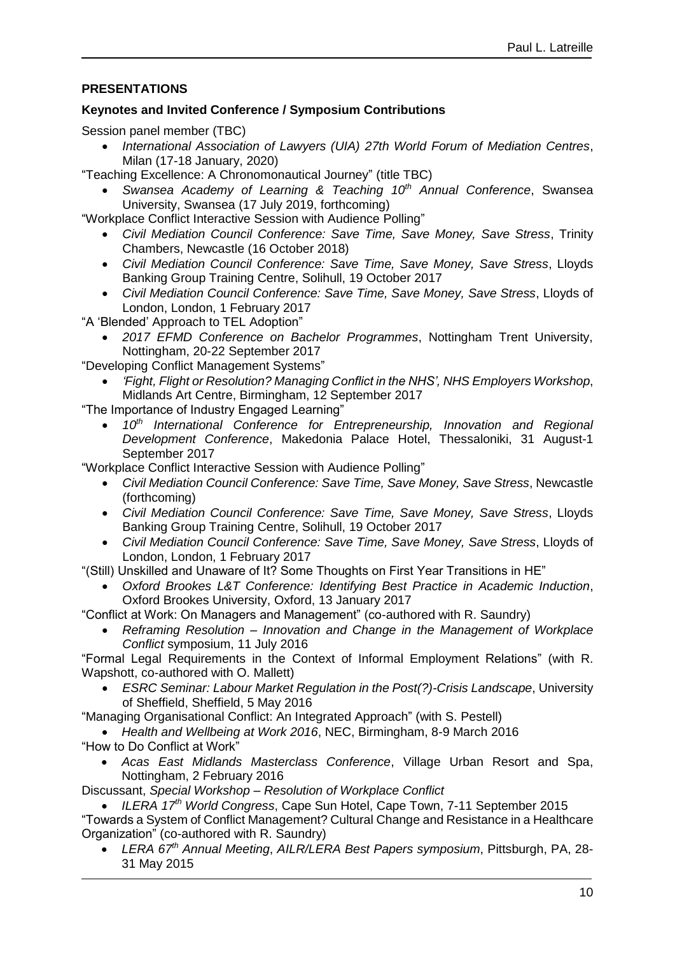# **PRESENTATIONS**

### **Keynotes and Invited Conference / Symposium Contributions**

Session panel member (TBC)

- *International Association of Lawyers (UIA) 27th World Forum of Mediation Centres*, Milan (17-18 January, 2020)
- "Teaching Excellence: A Chronomonautical Journey" (title TBC)
	- *Swansea Academy of Learning & Teaching 10th Annual Conference*, Swansea University, Swansea (17 July 2019, forthcoming)

"Workplace Conflict Interactive Session with Audience Polling"

- *Civil Mediation Council Conference: Save Time, Save Money, Save Stress*, Trinity Chambers, Newcastle (16 October 2018)
- *Civil Mediation Council Conference: Save Time, Save Money, Save Stress*, Lloyds Banking Group Training Centre, Solihull, 19 October 2017
- *Civil Mediation Council Conference: Save Time, Save Money, Save Stress*, Lloyds of London, London, 1 February 2017

"A 'Blended' Approach to TEL Adoption"

 *2017 EFMD Conference on Bachelor Programmes*, Nottingham Trent University, Nottingham, 20-22 September 2017

"Developing Conflict Management Systems"

 *'Fight, Flight or Resolution? Managing Conflict in the NHS', NHS Employers Workshop*, Midlands Art Centre, Birmingham, 12 September 2017

"The Importance of Industry Engaged Learning"

 *10th International Conference for Entrepreneurship, Innovation and Regional Development Conference*, Makedonia Palace Hotel, Thessaloniki, 31 August-1 September 2017

"Workplace Conflict Interactive Session with Audience Polling"

- *Civil Mediation Council Conference: Save Time, Save Money, Save Stress*, Newcastle (forthcoming)
- *Civil Mediation Council Conference: Save Time, Save Money, Save Stress*, Lloyds Banking Group Training Centre, Solihull, 19 October 2017
- *Civil Mediation Council Conference: Save Time, Save Money, Save Stress*, Lloyds of London, London, 1 February 2017

"(Still) Unskilled and Unaware of It? Some Thoughts on First Year Transitions in HE"

 *Oxford Brookes L&T Conference: Identifying Best Practice in Academic Induction*, Oxford Brookes University, Oxford, 13 January 2017

"Conflict at Work: On Managers and Management" (co-authored with R. Saundry)

 *Reframing Resolution – Innovation and Change in the Management of Workplace Conflict* symposium, 11 July 2016

"Formal Legal Requirements in the Context of Informal Employment Relations" (with R. Wapshott, co-authored with O. Mallett)

 *ESRC Seminar: Labour Market Regulation in the Post(?)-Crisis Landscape*, University of Sheffield, Sheffield, 5 May 2016

"Managing Organisational Conflict: An Integrated Approach" (with S. Pestell)

*Health and Wellbeing at Work 2016*, NEC, Birmingham, 8-9 March 2016

- "How to Do Conflict at Work"
	- *Acas East Midlands Masterclass Conference*, Village Urban Resort and Spa, Nottingham, 2 February 2016

Discussant, *Special Workshop – Resolution of Workplace Conflict*

 *ILERA 17th World Congress*, Cape Sun Hotel, Cape Town, 7-11 September 2015 "Towards a System of Conflict Management? Cultural Change and Resistance in a Healthcare Organization" (co-authored with R. Saundry)

 *LERA 67th Annual Meeting*, *AILR/LERA Best Papers symposium*, Pittsburgh, PA, 28- 31 May 2015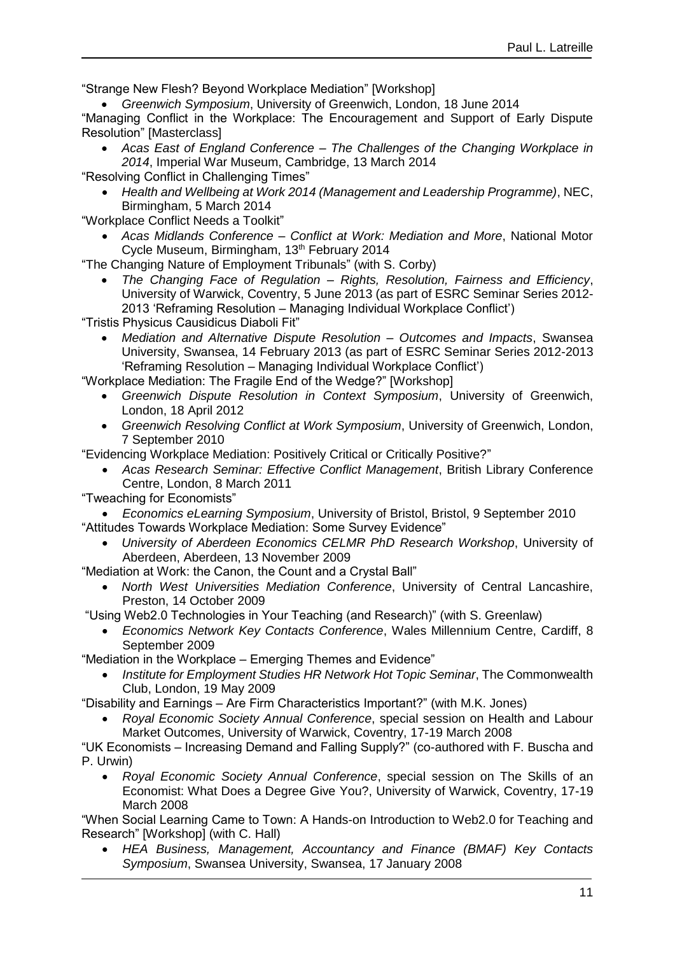"Strange New Flesh? Beyond Workplace Mediation" [Workshop]

*Greenwich Symposium*, University of Greenwich, London, 18 June 2014

"Managing Conflict in the Workplace: The Encouragement and Support of Early Dispute Resolution" [Masterclass]

 *Acas East of England Conference – The Challenges of the Changing Workplace in 2014*, Imperial War Museum, Cambridge, 13 March 2014

"Resolving Conflict in Challenging Times"

 *Health and Wellbeing at Work 2014 (Management and Leadership Programme)*, NEC, Birmingham, 5 March 2014

"Workplace Conflict Needs a Toolkit"

 *Acas Midlands Conference – Conflict at Work: Mediation and More*, National Motor Cycle Museum, Birmingham, 13<sup>th</sup> February 2014

"The Changing Nature of Employment Tribunals" (with S. Corby)

 *The Changing Face of Regulation – Rights, Resolution, Fairness and Efficiency*, University of Warwick, Coventry, 5 June 2013 (as part of ESRC Seminar Series 2012- 2013 'Reframing Resolution – Managing Individual Workplace Conflict')

"Tristis Physicus Causidicus Diaboli Fit"

 *Mediation and Alternative Dispute Resolution – Outcomes and Impacts*, Swansea University, Swansea, 14 February 2013 (as part of ESRC Seminar Series 2012-2013 'Reframing Resolution – Managing Individual Workplace Conflict')

"Workplace Mediation: The Fragile End of the Wedge?" [Workshop]

- *Greenwich Dispute Resolution in Context Symposium*, University of Greenwich, London, 18 April 2012
- *Greenwich Resolving Conflict at Work Symposium*, University of Greenwich, London, 7 September 2010

"Evidencing Workplace Mediation: Positively Critical or Critically Positive?"

 *Acas Research Seminar: Effective Conflict Management*, British Library Conference Centre, London, 8 March 2011

"Tweaching for Economists"

- *Economics eLearning Symposium*, University of Bristol, Bristol, 9 September 2010 "Attitudes Towards Workplace Mediation: Some Survey Evidence"
	- *University of Aberdeen Economics CELMR PhD Research Workshop*, University of Aberdeen, Aberdeen, 13 November 2009

"Mediation at Work: the Canon, the Count and a Crystal Ball"

 *North West Universities Mediation Conference*, University of Central Lancashire, Preston, 14 October 2009

"Using Web2.0 Technologies in Your Teaching (and Research)" (with S. Greenlaw)

 *Economics Network Key Contacts Conference*, Wales Millennium Centre, Cardiff, 8 September 2009

"Mediation in the Workplace – Emerging Themes and Evidence"

 *Institute for Employment Studies HR Network Hot Topic Seminar*, The Commonwealth Club, London, 19 May 2009

"Disability and Earnings – Are Firm Characteristics Important?" (with M.K. Jones)

 *Royal Economic Society Annual Conference*, special session on Health and Labour Market Outcomes, University of Warwick, Coventry, 17-19 March 2008

"UK Economists – Increasing Demand and Falling Supply?" (co-authored with F. Buscha and P. Urwin)

 *Royal Economic Society Annual Conference*, special session on The Skills of an Economist: What Does a Degree Give You?, University of Warwick, Coventry, 17-19 March 2008

"When Social Learning Came to Town: A Hands-on Introduction to Web2.0 for Teaching and Research" [Workshop] (with C. Hall)

 *HEA Business, Management, Accountancy and Finance (BMAF) Key Contacts Symposium*, Swansea University, Swansea, 17 January 2008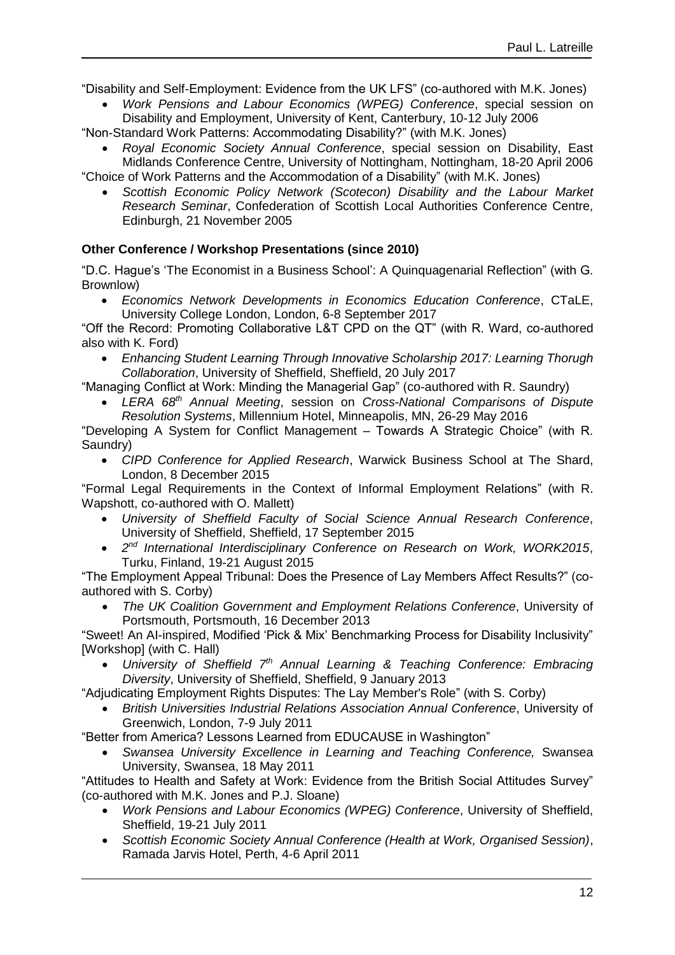"Disability and Self-Employment: Evidence from the UK LFS" (co-authored with M.K. Jones)

 *Work Pensions and Labour Economics (WPEG) Conference*, special session on Disability and Employment, University of Kent, Canterbury, 10-12 July 2006

"Non-Standard Work Patterns: Accommodating Disability?" (with M.K. Jones)

- *Royal Economic Society Annual Conference*, special session on Disability, East Midlands Conference Centre, University of Nottingham, Nottingham, 18-20 April 2006 "Choice of Work Patterns and the Accommodation of a Disability" (with M.K. Jones)
	- *Scottish Economic Policy Network (Scotecon) Disability and the Labour Market Research Seminar*, Confederation of Scottish Local Authorities Conference Centre, Edinburgh, 21 November 2005

### **Other Conference / Workshop Presentations (since 2010)**

"D.C. Hague's 'The Economist in a Business School': A Quinquagenarial Reflection" (with G. Brownlow)

 *Economics Network Developments in Economics Education Conference*, CTaLE, University College London, London, 6-8 September 2017

"Off the Record: Promoting Collaborative L&T CPD on the QT" (with R. Ward, co-authored also with K. Ford)

 *Enhancing Student Learning Through Innovative Scholarship 2017: Learning Thorugh Collaboration*, University of Sheffield, Sheffield, 20 July 2017

"Managing Conflict at Work: Minding the Managerial Gap" (co-authored with R. Saundry)

**•** LERA 68<sup>th</sup> Annual Meeting, session on *Cross-National Comparisons of Dispute Resolution Systems*, Millennium Hotel, Minneapolis, MN, 26-29 May 2016

"Developing A System for Conflict Management – Towards A Strategic Choice" (with R. Saundry)

 *CIPD Conference for Applied Research*, Warwick Business School at The Shard, London, 8 December 2015

"Formal Legal Requirements in the Context of Informal Employment Relations" (with R. Wapshott, co-authored with O. Mallett)

- *University of Sheffield Faculty of Social Science Annual Research Conference*, University of Sheffield, Sheffield, 17 September 2015
- *2 nd International Interdisciplinary Conference on Research on Work, WORK2015*, Turku, Finland, 19-21 August 2015

"The Employment Appeal Tribunal: Does the Presence of Lay Members Affect Results?" (coauthored with S. Corby)

 *The UK Coalition Government and Employment Relations Conference*, University of Portsmouth, Portsmouth, 16 December 2013

"Sweet! An AI-inspired, Modified 'Pick & Mix' Benchmarking Process for Disability Inclusivity" [Workshop] (with C. Hall)

 *University of Sheffield 7th Annual Learning & Teaching Conference: Embracing Diversity*, University of Sheffield, Sheffield, 9 January 2013

"Adjudicating Employment Rights Disputes: The Lay Member's Role" (with S. Corby)

 *British Universities Industrial Relations Association Annual Conference*, University of Greenwich, London, 7-9 July 2011

"Better from America? Lessons Learned from EDUCAUSE in Washington"

 *Swansea University Excellence in Learning and Teaching Conference,* Swansea University, Swansea, 18 May 2011

"Attitudes to Health and Safety at Work: Evidence from the British Social Attitudes Survey" (co-authored with M.K. Jones and P.J. Sloane)

- *Work Pensions and Labour Economics (WPEG) Conference*, University of Sheffield, Sheffield, 19-21 July 2011
- *Scottish Economic Society Annual Conference (Health at Work, Organised Session)*, Ramada Jarvis Hotel, Perth, 4-6 April 2011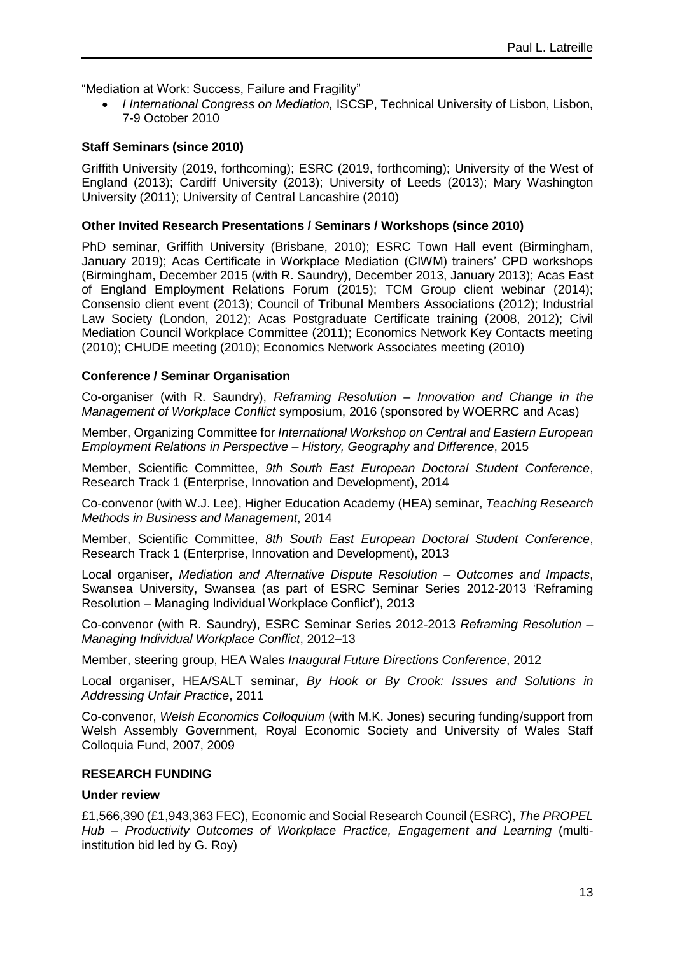"Mediation at Work: Success, Failure and Fragility"

 *I International Congress on Mediation,* ISCSP, Technical University of Lisbon, Lisbon, 7-9 October 2010

### **Staff Seminars (since 2010)**

Griffith University (2019, forthcoming); ESRC (2019, forthcoming); University of the West of England (2013); Cardiff University (2013); University of Leeds (2013); Mary Washington University (2011); University of Central Lancashire (2010)

### **Other Invited Research Presentations / Seminars / Workshops (since 2010)**

PhD seminar, Griffith University (Brisbane, 2010); ESRC Town Hall event (Birmingham, January 2019); Acas Certificate in Workplace Mediation (CIWM) trainers' CPD workshops (Birmingham, December 2015 (with R. Saundry), December 2013, January 2013); Acas East of England Employment Relations Forum (2015); TCM Group client webinar (2014); Consensio client event (2013); Council of Tribunal Members Associations (2012); Industrial Law Society (London, 2012); Acas Postgraduate Certificate training (2008, 2012); Civil Mediation Council Workplace Committee (2011); Economics Network Key Contacts meeting (2010); CHUDE meeting (2010); Economics Network Associates meeting (2010)

### **Conference / Seminar Organisation**

Co-organiser (with R. Saundry), *Reframing Resolution – Innovation and Change in the Management of Workplace Conflict* symposium, 2016 (sponsored by WOERRC and Acas)

Member, Organizing Committee for *International Workshop on Central and Eastern European Employment Relations in Perspective – History, Geography and Difference*, 2015

Member, Scientific Committee, *9th South East European Doctoral Student Conference*, Research Track 1 (Enterprise, Innovation and Development), 2014

Co-convenor (with W.J. Lee), Higher Education Academy (HEA) seminar, *Teaching Research Methods in Business and Management*, 2014

Member, Scientific Committee, *8th South East European Doctoral Student Conference*, Research Track 1 (Enterprise, Innovation and Development), 2013

Local organiser, *Mediation and Alternative Dispute Resolution – Outcomes and Impacts*, Swansea University, Swansea (as part of ESRC Seminar Series 2012-2013 'Reframing Resolution – Managing Individual Workplace Conflict'), 2013

Co-convenor (with R. Saundry), ESRC Seminar Series 2012-2013 *Reframing Resolution – Managing Individual Workplace Conflict*, 2012–13

Member, steering group, HEA Wales *Inaugural Future Directions Conference*, 2012

Local organiser, HEA/SALT seminar, *By Hook or By Crook: Issues and Solutions in Addressing Unfair Practice*, 2011

Co-convenor, *Welsh Economics Colloquium* (with M.K. Jones) securing funding/support from Welsh Assembly Government, Royal Economic Society and University of Wales Staff Colloquia Fund, 2007, 2009

### **RESEARCH FUNDING**

### **Under review**

£1,566,390 (£1,943,363 FEC), Economic and Social Research Council (ESRC), *The PROPEL Hub – Productivity Outcomes of Workplace Practice, Engagement and Learning* (multiinstitution bid led by G. Roy)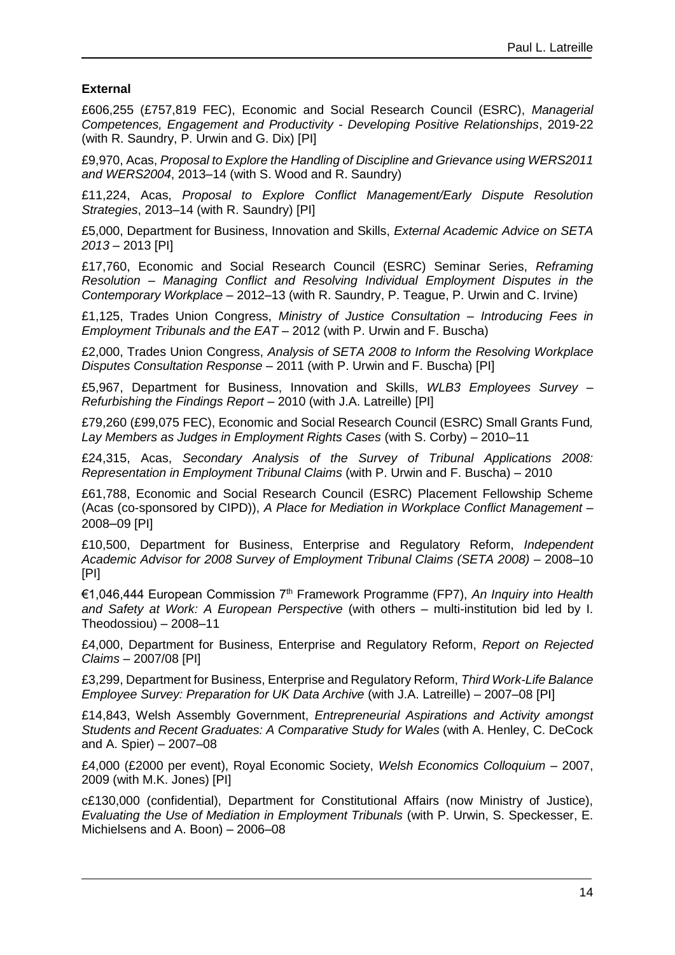# **External**

£606,255 (£757,819 FEC), Economic and Social Research Council (ESRC), *Managerial Competences, Engagement and Productivity - Developing Positive Relationships*, 2019-22 (with R. Saundry, P. Urwin and G. Dix) [PI]

£9,970, Acas, *Proposal to Explore the Handling of Discipline and Grievance using WERS2011 and WERS2004*, 2013–14 (with S. Wood and R. Saundry)

£11,224, Acas, *Proposal to Explore Conflict Management/Early Dispute Resolution Strategies*, 2013–14 (with R. Saundry) [PI]

£5,000, Department for Business, Innovation and Skills, *External Academic Advice on SETA 2013* – 2013 [PI]

£17,760, Economic and Social Research Council (ESRC) Seminar Series, *Reframing Resolution – Managing Conflict and Resolving Individual Employment Disputes in the Contemporary Workplace* – 2012–13 (with R. Saundry, P. Teague, P. Urwin and C. Irvine)

£1,125, Trades Union Congress, *Ministry of Justice Consultation – Introducing Fees in Employment Tribunals and the EAT* – 2012 (with P. Urwin and F. Buscha)

£2,000, Trades Union Congress, *Analysis of SETA 2008 to Inform the Resolving Workplace Disputes Consultation Response* – 2011 (with P. Urwin and F. Buscha) [PI]

£5,967, Department for Business, Innovation and Skills, *WLB3 Employees Survey – Refurbishing the Findings Report* – 2010 (with J.A. Latreille) [PI]

£79,260 (£99,075 FEC), Economic and Social Research Council (ESRC) Small Grants Fund*, Lay Members as Judges in Employment Rights Cases* (with S. Corby) – 2010–11

£24,315, Acas, *Secondary Analysis of the Survey of Tribunal Applications 2008: Representation in Employment Tribunal Claims* (with P. Urwin and F. Buscha) – 2010

£61,788, Economic and Social Research Council (ESRC) Placement Fellowship Scheme (Acas (co-sponsored by CIPD)), *A Place for Mediation in Workplace Conflict Management* – 2008–09 [PI]

£10,500, Department for Business, Enterprise and Regulatory Reform, *Independent Academic Advisor for 2008 Survey of Employment Tribunal Claims (SETA 2008)* – 2008–10 [PI]

€1,046,444 European Commission 7th Framework Programme (FP7), *An Inquiry into Health and Safety at Work: A European Perspective* (with others – multi-institution bid led by I. Theodossiou) – 2008–11

£4,000, Department for Business, Enterprise and Regulatory Reform, *Report on Rejected Claims* – 2007/08 [PI]

£3,299, Department for Business, Enterprise and Regulatory Reform, *Third Work-Life Balance Employee Survey: Preparation for UK Data Archive* (with J.A. Latreille) – 2007–08 [PI]

£14,843, Welsh Assembly Government, *Entrepreneurial Aspirations and Activity amongst Students and Recent Graduates: A Comparative Study for Wales* (with A. Henley, C. DeCock and A. Spier) – 2007–08

£4,000 (£2000 per event), Royal Economic Society, *Welsh Economics Colloquium* – 2007, 2009 (with M.K. Jones) [PI]

c£130,000 (confidential), Department for Constitutional Affairs (now Ministry of Justice), *Evaluating the Use of Mediation in Employment Tribunals* (with P. Urwin, S. Speckesser, E. Michielsens and A. Boon) – 2006–08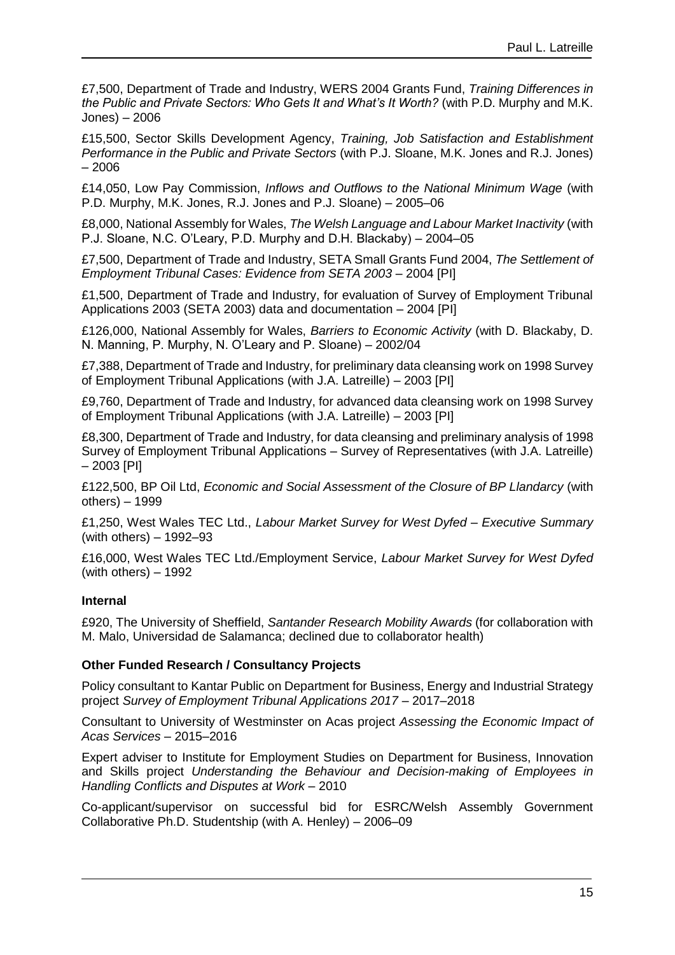£7,500, Department of Trade and Industry, WERS 2004 Grants Fund, *Training Differences in the Public and Private Sectors: Who Gets It and What's It Worth?* (with P.D. Murphy and M.K. Jones) – 2006

£15,500, Sector Skills Development Agency, *Training, Job Satisfaction and Establishment Performance in the Public and Private Sectors* (with P.J. Sloane, M.K. Jones and R.J. Jones) – 2006

£14,050, Low Pay Commission, *Inflows and Outflows to the National Minimum Wage* (with P.D. Murphy, M.K. Jones, R.J. Jones and P.J. Sloane) – 2005–06

£8,000, National Assembly for Wales, *The Welsh Language and Labour Market Inactivity* (with P.J. Sloane, N.C. O'Leary, P.D. Murphy and D.H. Blackaby) – 2004–05

£7,500, Department of Trade and Industry, SETA Small Grants Fund 2004, *The Settlement of Employment Tribunal Cases: Evidence from SETA 2003* – 2004 [PI]

£1,500, Department of Trade and Industry, for evaluation of Survey of Employment Tribunal Applications 2003 (SETA 2003) data and documentation – 2004 [PI]

£126,000, National Assembly for Wales, *Barriers to Economic Activity* (with D. Blackaby, D. N. Manning, P. Murphy, N. O'Leary and P. Sloane) – 2002/04

£7,388, Department of Trade and Industry, for preliminary data cleansing work on 1998 Survey of Employment Tribunal Applications (with J.A. Latreille) – 2003 [PI]

£9,760, Department of Trade and Industry, for advanced data cleansing work on 1998 Survey of Employment Tribunal Applications (with J.A. Latreille) – 2003 [PI]

£8,300, Department of Trade and Industry, for data cleansing and preliminary analysis of 1998 Survey of Employment Tribunal Applications – Survey of Representatives (with J.A. Latreille) – 2003 [PI]

£122,500, BP Oil Ltd, *Economic and Social Assessment of the Closure of BP Llandarcy* (with others) – 1999

£1,250, West Wales TEC Ltd., *Labour Market Survey for West Dyfed – Executive Summary*  (with others) – 1992–93

£16,000, West Wales TEC Ltd./Employment Service, *Labour Market Survey for West Dyfed* (with others)  $-1992$ 

### **Internal**

£920, The University of Sheffield, *Santander Research Mobility Awards* (for collaboration with M. Malo, Universidad de Salamanca; declined due to collaborator health)

### **Other Funded Research / Consultancy Projects**

Policy consultant to Kantar Public on Department for Business, Energy and Industrial Strategy project *Survey of Employment Tribunal Applications 2017* – 2017–2018

Consultant to University of Westminster on Acas project *Assessing the Economic Impact of Acas Services* – 2015–2016

Expert adviser to Institute for Employment Studies on Department for Business, Innovation and Skills project *Understanding the Behaviour and Decision-making of Employees in Handling Conflicts and Disputes at Work* – 2010

Co-applicant/supervisor on successful bid for ESRC/Welsh Assembly Government Collaborative Ph.D. Studentship (with A. Henley) – 2006–09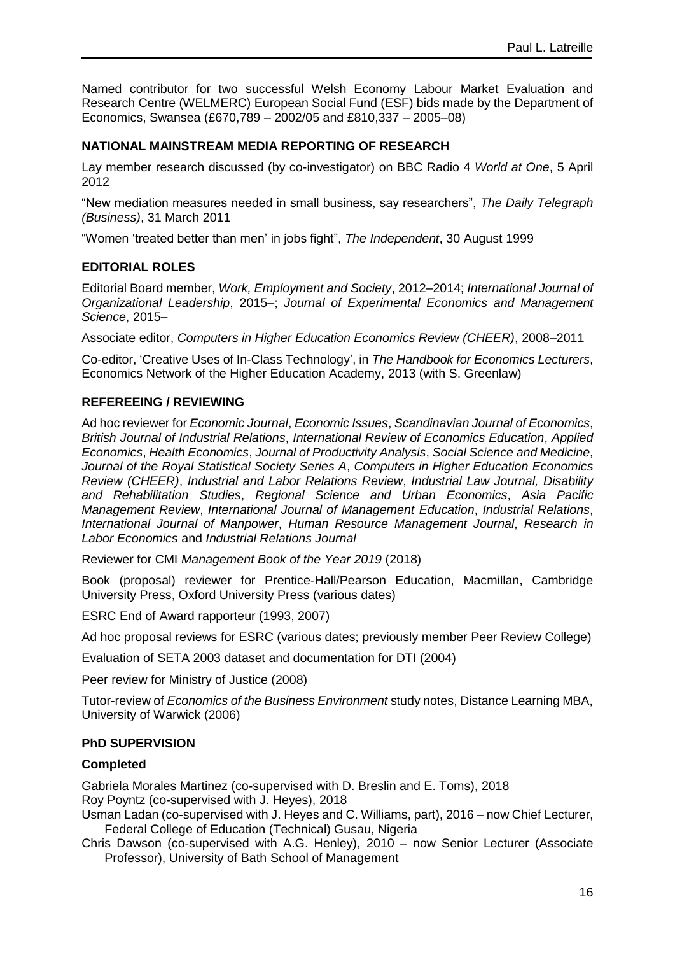Named contributor for two successful Welsh Economy Labour Market Evaluation and Research Centre (WELMERC) European Social Fund (ESF) bids made by the Department of Economics, Swansea (£670,789 – 2002/05 and £810,337 – 2005–08)

### **NATIONAL MAINSTREAM MEDIA REPORTING OF RESEARCH**

Lay member research discussed (by co-investigator) on BBC Radio 4 *World at One*, 5 April 2012

"New mediation measures needed in small business, say researchers", *The Daily Telegraph (Business)*, 31 March 2011

"Women 'treated better than men' in jobs fight", *The Independent*, 30 August 1999

### **EDITORIAL ROLES**

Editorial Board member, *Work, Employment and Society*, 2012–2014; *International Journal of Organizational Leadership*, 2015–; *Journal of Experimental Economics and Management Science*, 2015–

Associate editor, *Computers in Higher Education Economics Review (CHEER)*, 2008–2011

Co-editor, 'Creative Uses of In-Class Technology', in *The Handbook for Economics Lecturers*, Economics Network of the Higher Education Academy, 2013 (with S. Greenlaw)

### **REFEREEING / REVIEWING**

Ad hoc reviewer for *Economic Journal*, *Economic Issues*, *Scandinavian Journal of Economics*, *British Journal of Industrial Relations*, *International Review of Economics Education*, *Applied Economics*, *Health Economics*, *Journal of Productivity Analysis*, *Social Science and Medicine*, *Journal of the Royal Statistical Society Series A*, *Computers in Higher Education Economics Review (CHEER)*, *Industrial and Labor Relations Review*, *Industrial Law Journal, Disability and Rehabilitation Studies*, *Regional Science and Urban Economics*, *Asia Pacific Management Review*, *International Journal of Management Education*, *Industrial Relations*, *International Journal of Manpower*, *Human Resource Management Journal*, *Research in Labor Economics* and *Industrial Relations Journal*

Reviewer for CMI *Management Book of the Year 2019* (2018)

Book (proposal) reviewer for Prentice-Hall/Pearson Education, Macmillan, Cambridge University Press, Oxford University Press (various dates)

ESRC End of Award rapporteur (1993, 2007)

Ad hoc proposal reviews for ESRC (various dates; previously member Peer Review College)

Evaluation of SETA 2003 dataset and documentation for DTI (2004)

Peer review for Ministry of Justice (2008)

Tutor-review of *Economics of the Business Environment* study notes, Distance Learning MBA, University of Warwick (2006)

### **PhD SUPERVISION**

### **Completed**

Gabriela Morales Martinez (co-supervised with D. Breslin and E. Toms), 2018 Roy Poyntz (co-supervised with J. Heyes), 2018

Usman Ladan (co-supervised with J. Heyes and C. Williams, part), 2016 – now Chief Lecturer, Federal College of Education (Technical) Gusau, Nigeria

Chris Dawson (co-supervised with A.G. Henley), 2010 – now Senior Lecturer (Associate Professor), University of Bath School of Management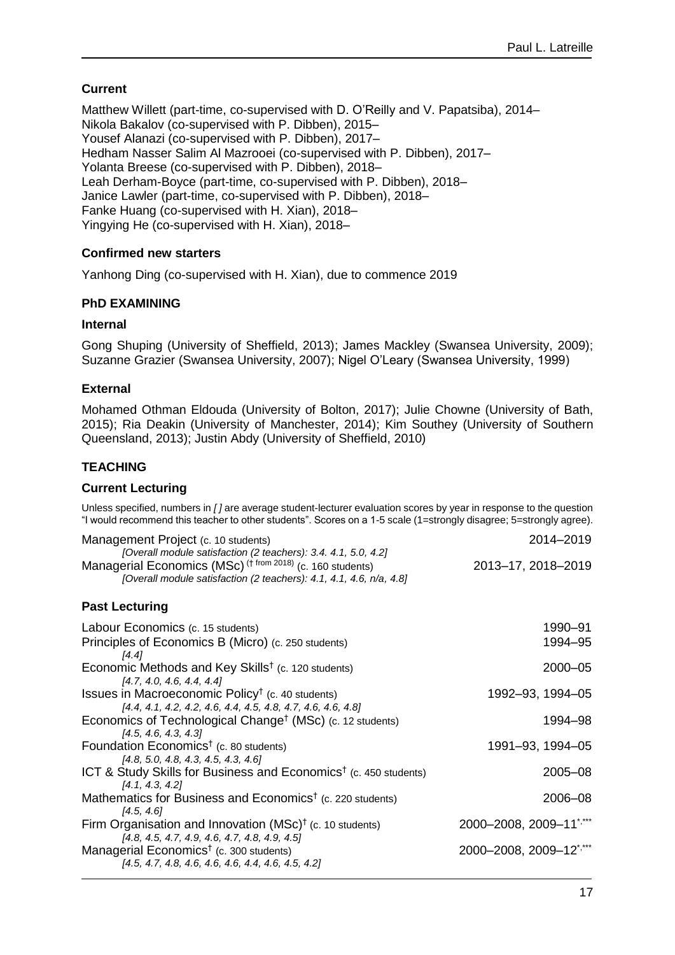# **Current**

Matthew Willett (part-time, co-supervised with D. O'Reilly and V. Papatsiba), 2014– Nikola Bakalov (co-supervised with P. Dibben), 2015– Yousef Alanazi (co-supervised with P. Dibben), 2017– Hedham Nasser Salim Al Mazrooei (co-supervised with P. Dibben), 2017– Yolanta Breese (co-supervised with P. Dibben), 2018– Leah Derham-Boyce (part-time, co-supervised with P. Dibben), 2018– Janice Lawler (part-time, co-supervised with P. Dibben), 2018– Fanke Huang (co-supervised with H. Xian), 2018– Yingying He (co-supervised with H. Xian), 2018–

### **Confirmed new starters**

Yanhong Ding (co-supervised with H. Xian), due to commence 2019

### **PhD EXAMINING**

### **Internal**

Gong Shuping (University of Sheffield, 2013); James Mackley (Swansea University, 2009); Suzanne Grazier (Swansea University, 2007); Nigel O'Leary (Swansea University, 1999)

### **External**

Mohamed Othman Eldouda (University of Bolton, 2017); Julie Chowne (University of Bath, 2015); Ria Deakin (University of Manchester, 2014); Kim Southey (University of Southern Queensland, 2013); Justin Abdy (University of Sheffield, 2010)

### **TEACHING**

### **Current Lecturing**

Unless specified, numbers in *[ ]* are average student-lecturer evaluation scores by year in response to the question "I would recommend this teacher to other students". Scores on a 1-5 scale (1=strongly disagree; 5=strongly agree).

| Management Project (c. 10 students)                                    | 2014–2019          |
|------------------------------------------------------------------------|--------------------|
| [Overall module satisfaction (2 teachers): 3.4. 4.1, 5.0, 4.2]         |                    |
| Managerial Economics (MSc) († from 2018) (c. 160 students)             | 2013–17, 2018–2019 |
| [Overall module satisfaction (2 teachers): $4.1, 4.1, 4.6, n/a, 4.8$ ] |                    |

### **Past Lecturing**

| Labour Economics (c. 15 students)                                                                                                                 | 1990–91                             |
|---------------------------------------------------------------------------------------------------------------------------------------------------|-------------------------------------|
| Principles of Economics B (Micro) (c. 250 students)<br>[4.4]                                                                                      | 1994–95                             |
| Economic Methods and Key Skills <sup>†</sup> (c. 120 students)<br>[4.7, 4.0, 4.6, 4.4, 4.4]                                                       | 2000-05                             |
| Issues in Macroeconomic Policy <sup><math>\dagger</math></sup> (c. 40 students)<br>$[4.4, 4.1, 4.2, 4.2, 4.6, 4.4, 4.5, 4.8, 4.7, 4.6, 4.6, 4.8]$ | 1992-93, 1994-05                    |
| Economics of Technological Change <sup>†</sup> (MSc) (c. 12 students)<br>[4.5, 4.6, 4.3, 4.3]                                                     | 1994–98                             |
| Foundation Economics <sup>†</sup> (c. 80 students)<br>[4.8, 5.0, 4.8, 4.3, 4.5, 4.3, 4.6]                                                         | 1991-93, 1994-05                    |
| ICT & Study Skills for Business and Economics <sup>†</sup> (c. 450 students)<br>[4.1, 4.3, 4.2]                                                   | 2005–08                             |
| Mathematics for Business and Economics <sup>†</sup> (c. 220 students)<br>[4.5.4.6]                                                                | 2006–08                             |
| Firm Organisation and Innovation $(MSc)^{\dagger}$ (c. 10 students)<br>$[4.8, 4.5, 4.7, 4.9, 4.6, 4.7, 4.8, 4.9, 4.5]$                            | 2000-2008, 2009-11****              |
| Managerial Economics <sup><math>\dagger</math></sup> (c. 300 students)<br>$[4.5, 4.7, 4.8, 4.6, 4.6, 4.6, 4.4, 4.6, 4.5, 4.2]$                    | 2000-2008, 2009-12 <sup>*,***</sup> |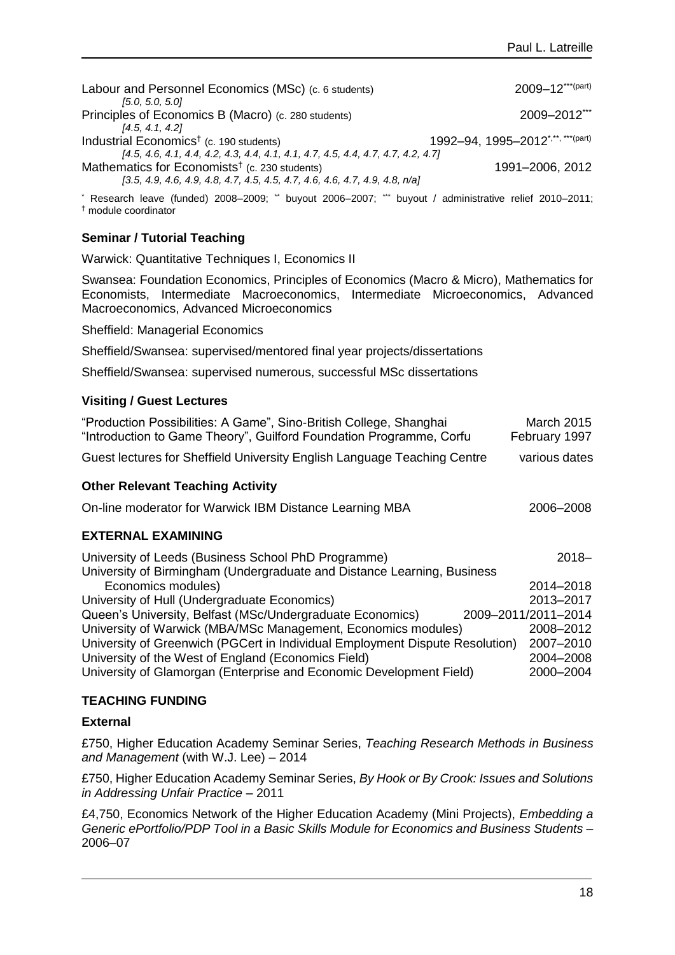Labour and Personnel Economics (MSc) (c. 6 students) 2009–12<sup>\*\*\*(part)</sup> *[5.0, 5.0, 5.0]* Principles of Economics B (Macro) (c. 280 students) 2009–2012<sup>\*\*\*</sup> *[4.5, 4.1, 4.2]* Industrial Economics<sup>†</sup> (c. 190 students) 1992–94, 1995–2012\*,\*\*, \*\*\*(part) *[4.5, 4.6, 4.1, 4.4, 4.2, 4.3, 4.4, 4.1, 4.1, 4.7, 4.5, 4.4, 4.7, 4.7, 4.2, 4.7]* Mathematics for Economists<sup>†</sup> (c. 230 students) 1991–2006, 2012 *[3.5, 4.9, 4.6, 4.9, 4.8, 4.7, 4.5, 4.5, 4.7, 4.6, 4.6, 4.7, 4.9, 4.8, n/a]*

\* Research leave (funded) 2008–2009; \*\* buyout 2006–2007; \*\*\* buyout / administrative relief 2010–2011; † module coordinator

# **Seminar / Tutorial Teaching**

Warwick: Quantitative Techniques I, Economics II

Swansea: Foundation Economics, Principles of Economics (Macro & Micro), Mathematics for Economists, Intermediate Macroeconomics, Intermediate Microeconomics, Advanced Macroeconomics, Advanced Microeconomics

Sheffield: Managerial Economics

Sheffield/Swansea: supervised/mentored final year projects/dissertations

Sheffield/Swansea: supervised numerous, successful MSc dissertations

### **Visiting / Guest Lectures**

| "Production Possibilities: A Game", Sino-British College, Shanghai<br>"Introduction to Game Theory", Guilford Foundation Programme, Corfu | <b>March 2015</b><br>February 1997 |
|-------------------------------------------------------------------------------------------------------------------------------------------|------------------------------------|
| Guest lectures for Sheffield University English Language Teaching Centre                                                                  | various dates                      |
| <b>Other Relevant Teaching Activity</b>                                                                                                   |                                    |
| On-line moderator for Warwick IBM Distance Learning MBA                                                                                   | 2006-2008                          |
| <b>EXTERNAL EXAMINING</b>                                                                                                                 |                                    |
| University of Leeds (Business School PhD Programme)                                                                                       | $2018 -$                           |
| University of Birmingham (Undergraduate and Distance Learning, Business                                                                   |                                    |
| Economics modules)                                                                                                                        | 2014-2018                          |
| University of Hull (Undergraduate Economics)                                                                                              | 2013-2017                          |
| Queen's University, Belfast (MSc/Undergraduate Economics)                                                                                 | 2009-2011/2011-2014                |
| University of Warwick (MBA/MSc Management, Economics modules)                                                                             | 2008-2012                          |
| University of Greenwich (PGCert in Individual Employment Dispute Resolution)                                                              | 2007-2010                          |
| University of the West of England (Economics Field)                                                                                       | 2004-2008                          |
| University of Glamorgan (Enterprise and Economic Development Field)                                                                       | 2000-2004                          |

### **TEACHING FUNDING**

### **External**

£750, Higher Education Academy Seminar Series, *Teaching Research Methods in Business and Management* (with W.J. Lee) – 2014

£750, Higher Education Academy Seminar Series, *By Hook or By Crook: Issues and Solutions in Addressing Unfair Practice* – 2011

£4,750, Economics Network of the Higher Education Academy (Mini Projects), *Embedding a Generic ePortfolio/PDP Tool in a Basic Skills Module for Economics and Business Students* – 2006–07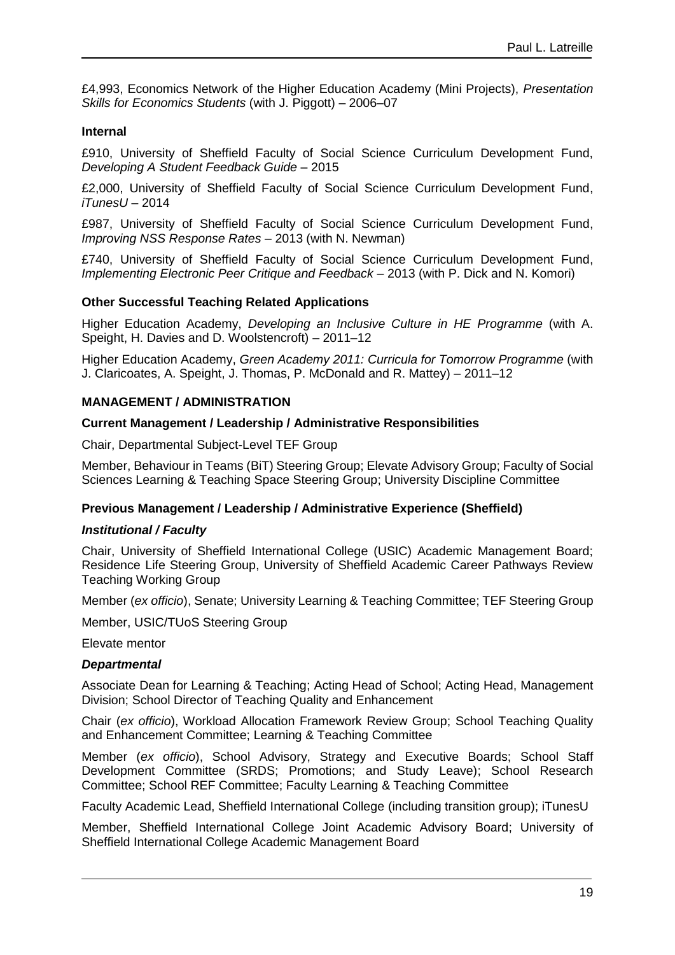£4,993, Economics Network of the Higher Education Academy (Mini Projects), *Presentation Skills for Economics Students* (with J. Piggott) – 2006–07

### **Internal**

£910, University of Sheffield Faculty of Social Science Curriculum Development Fund, *Developing A Student Feedback Guide* – 2015

£2,000, University of Sheffield Faculty of Social Science Curriculum Development Fund, *iTunesU* – 2014

£987, University of Sheffield Faculty of Social Science Curriculum Development Fund, *Improving NSS Response Rates* – 2013 (with N. Newman)

£740, University of Sheffield Faculty of Social Science Curriculum Development Fund, *Implementing Electronic Peer Critique and Feedback* – 2013 (with P. Dick and N. Komori)

#### **Other Successful Teaching Related Applications**

Higher Education Academy, *Developing an Inclusive Culture in HE Programme* (with A. Speight, H. Davies and D. Woolstencroft) – 2011–12

Higher Education Academy, *Green Academy 2011: Curricula for Tomorrow Programme* (with J. Claricoates, A. Speight, J. Thomas, P. McDonald and R. Mattey) – 2011–12

#### **MANAGEMENT / ADMINISTRATION**

#### **Current Management / Leadership / Administrative Responsibilities**

Chair, Departmental Subject-Level TEF Group

Member, Behaviour in Teams (BiT) Steering Group; Elevate Advisory Group; Faculty of Social Sciences Learning & Teaching Space Steering Group; University Discipline Committee

#### **Previous Management / Leadership / Administrative Experience (Sheffield)**

#### *Institutional / Faculty*

Chair, University of Sheffield International College (USIC) Academic Management Board; Residence Life Steering Group, University of Sheffield Academic Career Pathways Review Teaching Working Group

Member (*ex officio*), Senate; University Learning & Teaching Committee; TEF Steering Group

Member, USIC/TUoS Steering Group

Elevate mentor

#### *Departmental*

Associate Dean for Learning & Teaching; Acting Head of School; Acting Head, Management Division; School Director of Teaching Quality and Enhancement

Chair (*ex officio*), Workload Allocation Framework Review Group; School Teaching Quality and Enhancement Committee; Learning & Teaching Committee

Member (*ex officio*), School Advisory, Strategy and Executive Boards; School Staff Development Committee (SRDS; Promotions; and Study Leave); School Research Committee; School REF Committee; Faculty Learning & Teaching Committee

Faculty Academic Lead, Sheffield International College (including transition group); iTunesU

Member, Sheffield International College Joint Academic Advisory Board; University of Sheffield International College Academic Management Board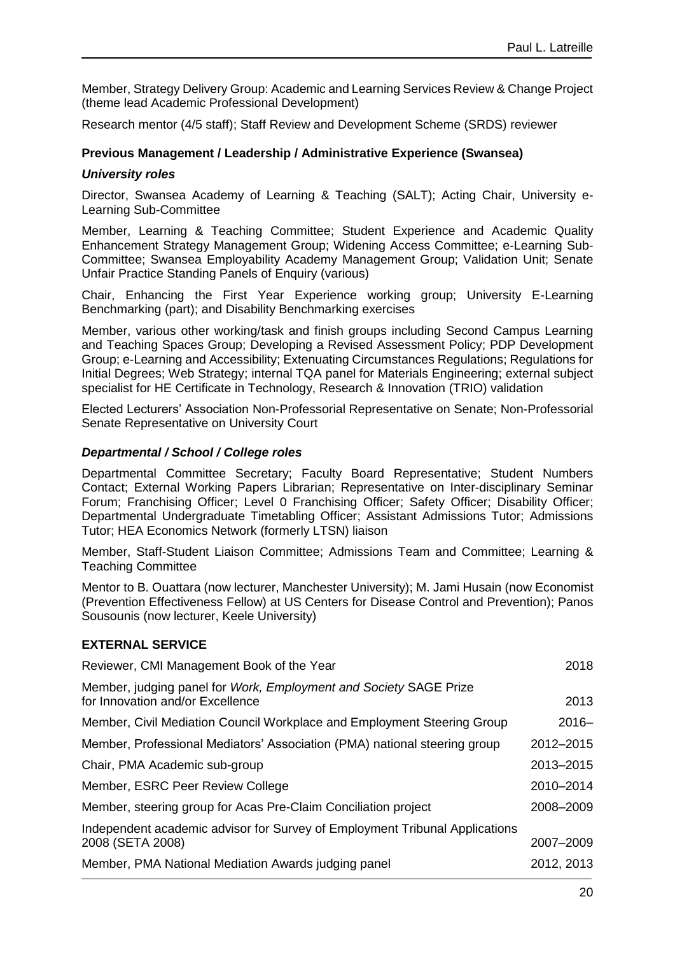Member, Strategy Delivery Group: Academic and Learning Services Review & Change Project (theme lead Academic Professional Development)

Research mentor (4/5 staff); Staff Review and Development Scheme (SRDS) reviewer

### **Previous Management / Leadership / Administrative Experience (Swansea)**

### *University roles*

Director, Swansea Academy of Learning & Teaching (SALT); Acting Chair, University e-Learning Sub-Committee

Member, Learning & Teaching Committee; Student Experience and Academic Quality Enhancement Strategy Management Group; Widening Access Committee; e-Learning Sub-Committee; Swansea Employability Academy Management Group; Validation Unit; Senate Unfair Practice Standing Panels of Enquiry (various)

Chair, Enhancing the First Year Experience working group; University E-Learning Benchmarking (part); and Disability Benchmarking exercises

Member, various other working/task and finish groups including Second Campus Learning and Teaching Spaces Group; Developing a Revised Assessment Policy; PDP Development Group; e-Learning and Accessibility; Extenuating Circumstances Regulations; Regulations for Initial Degrees; Web Strategy; internal TQA panel for Materials Engineering; external subject specialist for HE Certificate in Technology, Research & Innovation (TRIO) validation

Elected Lecturers' Association Non-Professorial Representative on Senate; Non-Professorial Senate Representative on University Court

### *Departmental / School / College roles*

Departmental Committee Secretary; Faculty Board Representative; Student Numbers Contact; External Working Papers Librarian; Representative on Inter-disciplinary Seminar Forum; Franchising Officer; Level 0 Franchising Officer; Safety Officer; Disability Officer; Departmental Undergraduate Timetabling Officer; Assistant Admissions Tutor; Admissions Tutor; HEA Economics Network (formerly LTSN) liaison

Member, Staff-Student Liaison Committee; Admissions Team and Committee; Learning & Teaching Committee

Mentor to B. Ouattara (now lecturer, Manchester University); M. Jami Husain (now Economist (Prevention Effectiveness Fellow) at US Centers for Disease Control and Prevention); Panos Sousounis (now lecturer, Keele University)

### **EXTERNAL SERVICE**

| Reviewer, CMI Management Book of the Year                                                             | 2018       |
|-------------------------------------------------------------------------------------------------------|------------|
| Member, judging panel for Work, Employment and Society SAGE Prize<br>for Innovation and/or Excellence | 2013       |
| Member, Civil Mediation Council Workplace and Employment Steering Group                               | $2016 -$   |
| Member, Professional Mediators' Association (PMA) national steering group                             | 2012-2015  |
| Chair, PMA Academic sub-group                                                                         | 2013-2015  |
| Member, ESRC Peer Review College                                                                      | 2010-2014  |
| Member, steering group for Acas Pre-Claim Conciliation project                                        | 2008-2009  |
| Independent academic advisor for Survey of Employment Tribunal Applications<br>2008 (SETA 2008)       | 2007-2009  |
| Member, PMA National Mediation Awards judging panel                                                   | 2012, 2013 |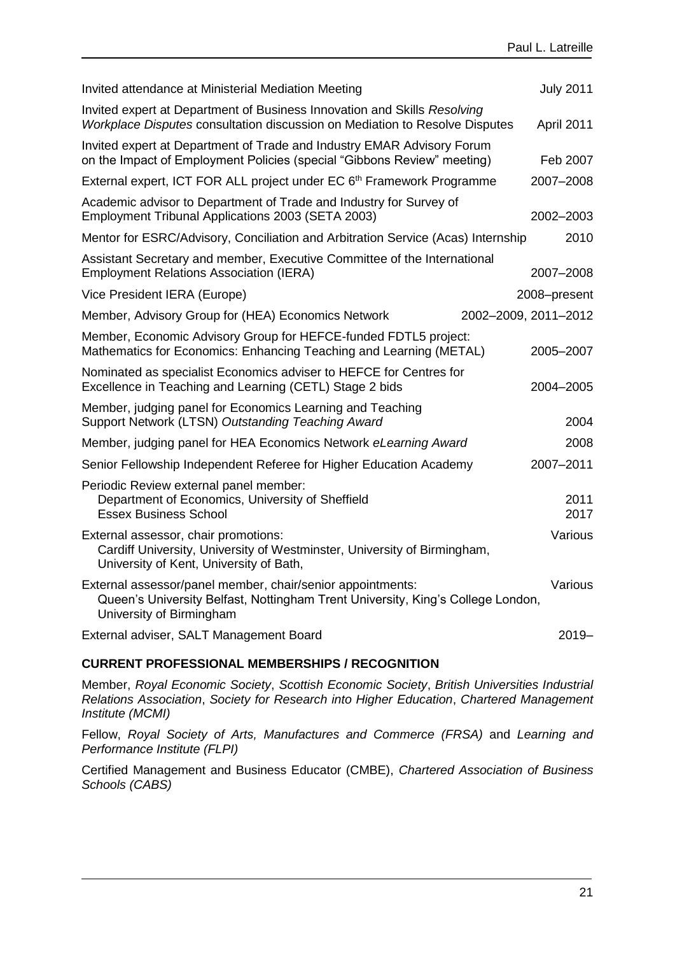| Invited attendance at Ministerial Mediation Meeting                                                                                                                       | <b>July 2011</b>     |
|---------------------------------------------------------------------------------------------------------------------------------------------------------------------------|----------------------|
| Invited expert at Department of Business Innovation and Skills Resolving<br>Workplace Disputes consultation discussion on Mediation to Resolve Disputes                   | April 2011           |
| Invited expert at Department of Trade and Industry EMAR Advisory Forum<br>on the Impact of Employment Policies (special "Gibbons Review" meeting)                         | Feb 2007             |
| External expert, ICT FOR ALL project under EC 6 <sup>th</sup> Framework Programme                                                                                         | 2007-2008            |
| Academic advisor to Department of Trade and Industry for Survey of<br>Employment Tribunal Applications 2003 (SETA 2003)                                                   | 2002-2003            |
| Mentor for ESRC/Advisory, Conciliation and Arbitration Service (Acas) Internship                                                                                          | 2010                 |
| Assistant Secretary and member, Executive Committee of the International<br><b>Employment Relations Association (IERA)</b>                                                | 2007-2008            |
| Vice President IERA (Europe)                                                                                                                                              | 2008-present         |
| Member, Advisory Group for (HEA) Economics Network                                                                                                                        | 2002-2009, 2011-2012 |
| Member, Economic Advisory Group for HEFCE-funded FDTL5 project:<br>Mathematics for Economics: Enhancing Teaching and Learning (METAL)                                     | 2005-2007            |
| Nominated as specialist Economics adviser to HEFCE for Centres for<br>Excellence in Teaching and Learning (CETL) Stage 2 bids                                             | 2004-2005            |
| Member, judging panel for Economics Learning and Teaching<br>Support Network (LTSN) Outstanding Teaching Award                                                            | 2004                 |
| Member, judging panel for HEA Economics Network eLearning Award                                                                                                           | 2008                 |
| Senior Fellowship Independent Referee for Higher Education Academy                                                                                                        | 2007-2011            |
| Periodic Review external panel member:<br>Department of Economics, University of Sheffield<br><b>Essex Business School</b>                                                | 2011<br>2017         |
| External assessor, chair promotions:<br>Cardiff University, University of Westminster, University of Birmingham,<br>University of Kent, University of Bath,               | Various              |
| External assessor/panel member, chair/senior appointments:<br>Queen's University Belfast, Nottingham Trent University, King's College London,<br>University of Birmingham | Various              |
| External adviser, SALT Management Board                                                                                                                                   | $2019 -$             |

### **CURRENT PROFESSIONAL MEMBERSHIPS / RECOGNITION**

Member, *Royal Economic Society*, *Scottish Economic Society*, *British Universities Industrial Relations Association*, *Society for Research into Higher Education*, *Chartered Management Institute (MCMI)*

Fellow, *Royal Society of Arts, Manufactures and Commerce (FRSA)* and *Learning and Performance Institute (FLPI)*

Certified Management and Business Educator (CMBE), *Chartered Association of Business Schools (CABS)*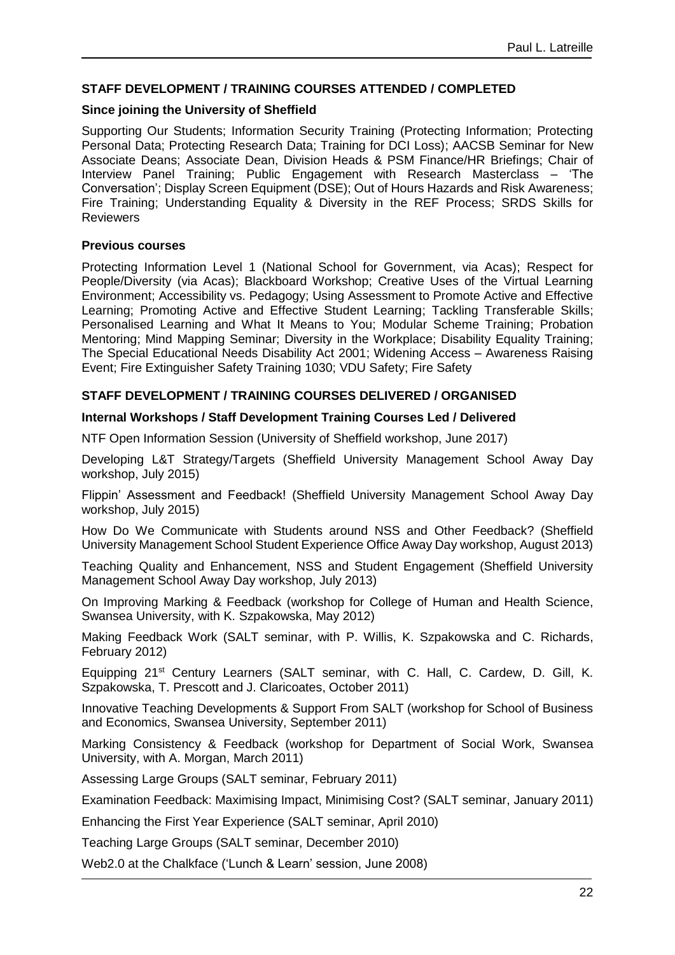## **STAFF DEVELOPMENT / TRAINING COURSES ATTENDED / COMPLETED**

#### **Since joining the University of Sheffield**

Supporting Our Students; Information Security Training (Protecting Information; Protecting Personal Data; Protecting Research Data; Training for DCI Loss); AACSB Seminar for New Associate Deans; Associate Dean, Division Heads & PSM Finance/HR Briefings; Chair of Interview Panel Training; Public Engagement with Research Masterclass – 'The Conversation'; Display Screen Equipment (DSE); Out of Hours Hazards and Risk Awareness; Fire Training; Understanding Equality & Diversity in the REF Process; SRDS Skills for Reviewers

#### **Previous courses**

Protecting Information Level 1 (National School for Government, via Acas); Respect for People/Diversity (via Acas); Blackboard Workshop; Creative Uses of the Virtual Learning Environment; Accessibility vs. Pedagogy; Using Assessment to Promote Active and Effective Learning; Promoting Active and Effective Student Learning; Tackling Transferable Skills; Personalised Learning and What It Means to You; Modular Scheme Training; Probation Mentoring; Mind Mapping Seminar; Diversity in the Workplace; Disability Equality Training; The Special Educational Needs Disability Act 2001; Widening Access – Awareness Raising Event; Fire Extinguisher Safety Training 1030; VDU Safety; Fire Safety

### **STAFF DEVELOPMENT / TRAINING COURSES DELIVERED / ORGANISED**

### **Internal Workshops / Staff Development Training Courses Led / Delivered**

NTF Open Information Session (University of Sheffield workshop, June 2017)

Developing L&T Strategy/Targets (Sheffield University Management School Away Day workshop, July 2015)

Flippin' Assessment and Feedback! (Sheffield University Management School Away Day workshop, July 2015)

How Do We Communicate with Students around NSS and Other Feedback? (Sheffield University Management School Student Experience Office Away Day workshop, August 2013)

Teaching Quality and Enhancement, NSS and Student Engagement (Sheffield University Management School Away Day workshop, July 2013)

On Improving Marking & Feedback (workshop for College of Human and Health Science, Swansea University, with K. Szpakowska, May 2012)

Making Feedback Work (SALT seminar, with P. Willis, K. Szpakowska and C. Richards, February 2012)

Equipping 21<sup>st</sup> Century Learners (SALT seminar, with C. Hall, C. Cardew, D. Gill, K. Szpakowska, T. Prescott and J. Claricoates, October 2011)

Innovative Teaching Developments & Support From SALT (workshop for School of Business and Economics, Swansea University, September 2011)

Marking Consistency & Feedback (workshop for Department of Social Work, Swansea University, with A. Morgan, March 2011)

Assessing Large Groups (SALT seminar, February 2011)

Examination Feedback: Maximising Impact, Minimising Cost? (SALT seminar, January 2011)

Enhancing the First Year Experience (SALT seminar, April 2010)

Teaching Large Groups (SALT seminar, December 2010)

Web2.0 at the Chalkface ('Lunch & Learn' session, June 2008)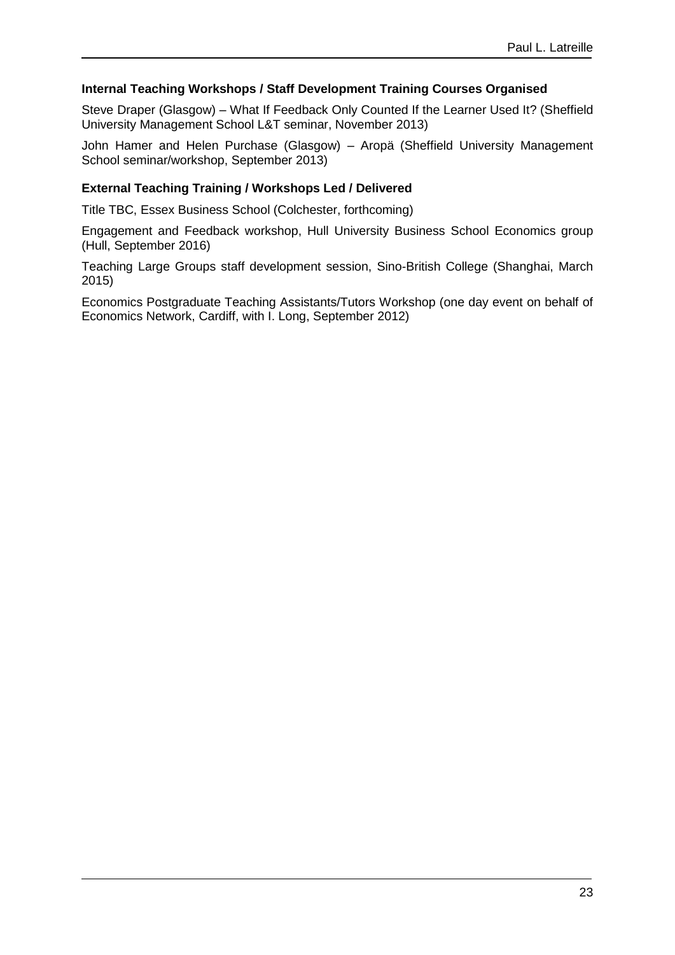### **Internal Teaching Workshops / Staff Development Training Courses Organised**

Steve Draper (Glasgow) – What If Feedback Only Counted If the Learner Used It? (Sheffield University Management School L&T seminar, November 2013)

John Hamer and Helen Purchase (Glasgow) – Aropä (Sheffield University Management School seminar/workshop, September 2013)

### **External Teaching Training / Workshops Led / Delivered**

Title TBC, Essex Business School (Colchester, forthcoming)

Engagement and Feedback workshop, Hull University Business School Economics group (Hull, September 2016)

Teaching Large Groups staff development session, Sino-British College (Shanghai, March 2015)

Economics Postgraduate Teaching Assistants/Tutors Workshop (one day event on behalf of Economics Network, Cardiff, with I. Long, September 2012)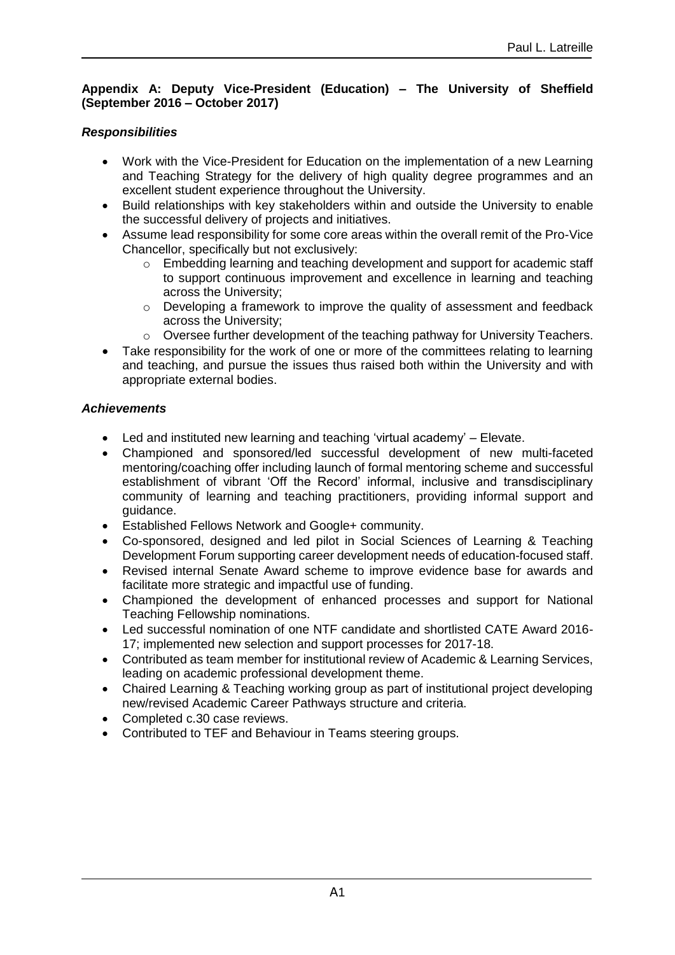## **Appendix A: Deputy Vice-President (Education) – The University of Sheffield (September 2016 – October 2017)**

# *Responsibilities*

- Work with the Vice-President for Education on the implementation of a new Learning and Teaching Strategy for the delivery of high quality degree programmes and an excellent student experience throughout the University.
- Build relationships with key stakeholders within and outside the University to enable the successful delivery of projects and initiatives.
- Assume lead responsibility for some core areas within the overall remit of the Pro-Vice Chancellor, specifically but not exclusively:
	- $\circ$  Embedding learning and teaching development and support for academic staff to support continuous improvement and excellence in learning and teaching across the University;
	- o Developing a framework to improve the quality of assessment and feedback across the University;
	- o Oversee further development of the teaching pathway for University Teachers.
- Take responsibility for the work of one or more of the committees relating to learning and teaching, and pursue the issues thus raised both within the University and with appropriate external bodies.

# *Achievements*

- Led and instituted new learning and teaching 'virtual academy' Elevate.
- Championed and sponsored/led successful development of new multi-faceted mentoring/coaching offer including launch of formal mentoring scheme and successful establishment of vibrant 'Off the Record' informal, inclusive and transdisciplinary community of learning and teaching practitioners, providing informal support and guidance.
- Established Fellows Network and Google+ community.
- Co-sponsored, designed and led pilot in Social Sciences of Learning & Teaching Development Forum supporting career development needs of education-focused staff.
- Revised internal Senate Award scheme to improve evidence base for awards and facilitate more strategic and impactful use of funding.
- Championed the development of enhanced processes and support for National Teaching Fellowship nominations.
- Led successful nomination of one NTF candidate and shortlisted CATE Award 2016- 17; implemented new selection and support processes for 2017-18.
- Contributed as team member for institutional review of Academic & Learning Services, leading on academic professional development theme.
- Chaired Learning & Teaching working group as part of institutional project developing new/revised Academic Career Pathways structure and criteria.
- Completed c.30 case reviews.
- Contributed to TEF and Behaviour in Teams steering groups.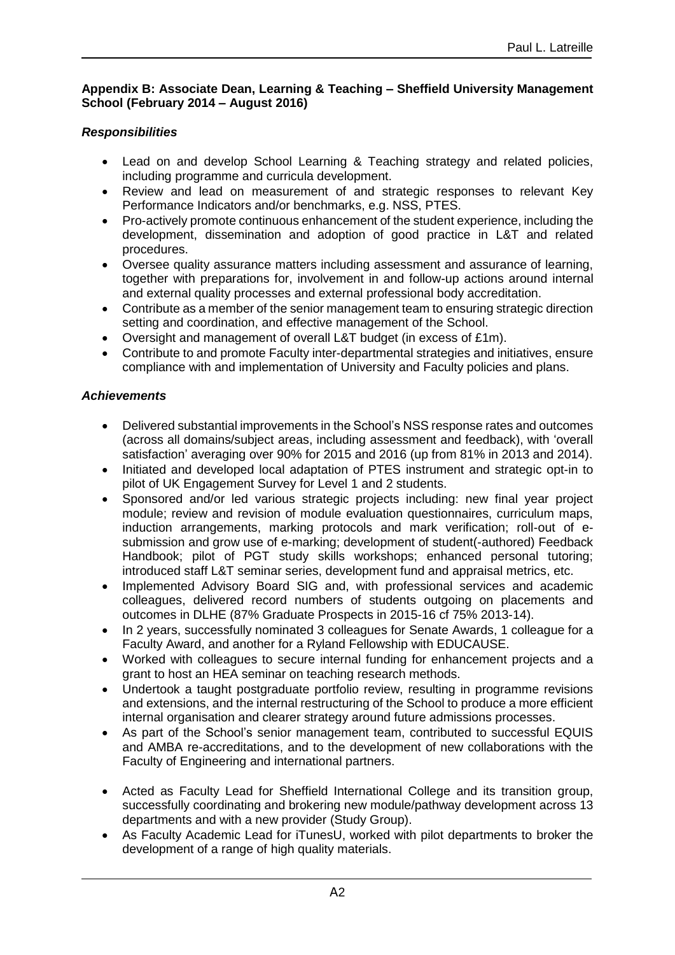### **Appendix B: Associate Dean, Learning & Teaching – Sheffield University Management School (February 2014 – August 2016)**

## *Responsibilities*

- Lead on and develop School Learning & Teaching strategy and related policies, including programme and curricula development.
- Review and lead on measurement of and strategic responses to relevant Key Performance Indicators and/or benchmarks, e.g. NSS, PTES.
- Pro-actively promote continuous enhancement of the student experience, including the development, dissemination and adoption of good practice in L&T and related procedures.
- Oversee quality assurance matters including assessment and assurance of learning, together with preparations for, involvement in and follow-up actions around internal and external quality processes and external professional body accreditation.
- Contribute as a member of the senior management team to ensuring strategic direction setting and coordination, and effective management of the School.
- Oversight and management of overall L&T budget (in excess of £1m).
- Contribute to and promote Faculty inter-departmental strategies and initiatives, ensure compliance with and implementation of University and Faculty policies and plans.

# *Achievements*

- Delivered substantial improvements in the School's NSS response rates and outcomes (across all domains/subject areas, including assessment and feedback), with 'overall satisfaction' averaging over 90% for 2015 and 2016 (up from 81% in 2013 and 2014).
- Initiated and developed local adaptation of PTES instrument and strategic opt-in to pilot of UK Engagement Survey for Level 1 and 2 students.
- Sponsored and/or led various strategic projects including: new final year project module; review and revision of module evaluation questionnaires, curriculum maps, induction arrangements, marking protocols and mark verification; roll-out of esubmission and grow use of e-marking; development of student(-authored) Feedback Handbook; pilot of PGT study skills workshops; enhanced personal tutoring; introduced staff L&T seminar series, development fund and appraisal metrics, etc.
- Implemented Advisory Board SIG and, with professional services and academic colleagues, delivered record numbers of students outgoing on placements and outcomes in DLHE (87% Graduate Prospects in 2015-16 cf 75% 2013-14).
- In 2 years, successfully nominated 3 colleagues for Senate Awards, 1 colleague for a Faculty Award, and another for a Ryland Fellowship with EDUCAUSE.
- Worked with colleagues to secure internal funding for enhancement projects and a grant to host an HEA seminar on teaching research methods.
- Undertook a taught postgraduate portfolio review, resulting in programme revisions and extensions, and the internal restructuring of the School to produce a more efficient internal organisation and clearer strategy around future admissions processes.
- As part of the School's senior management team, contributed to successful EQUIS and AMBA re-accreditations, and to the development of new collaborations with the Faculty of Engineering and international partners.
- Acted as Faculty Lead for Sheffield International College and its transition group, successfully coordinating and brokering new module/pathway development across 13 departments and with a new provider (Study Group).
- As Faculty Academic Lead for iTunesU, worked with pilot departments to broker the development of a range of high quality materials.